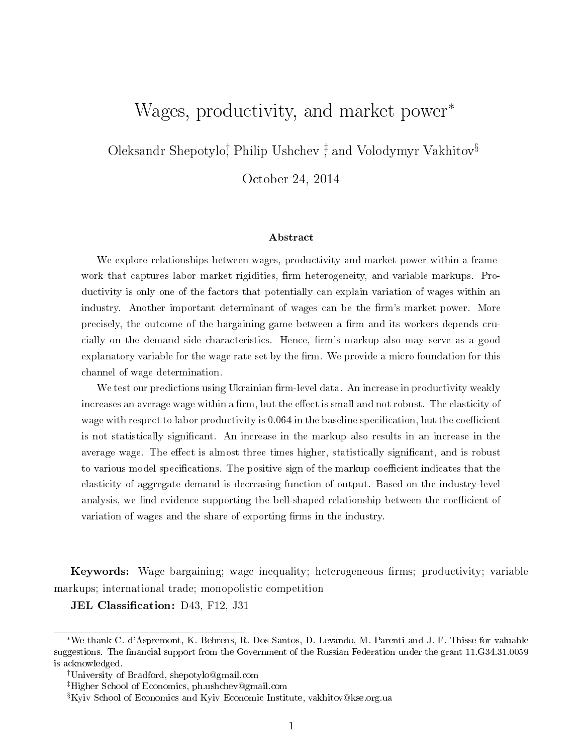# Wages, productivity, and market power<sup>\*</sup>

Oleksandr Shepotylo<sup>†</sup> Philip Ushchev<sup>‡</sup> and Volodymyr Vakhitov<sup>§</sup>

October 24, 2014

#### Abstract

We explore relationships between wages, productivity and market power within a framework that captures labor market rigidities, firm heterogeneity, and variable markups. Productivity is only one of the factors that potentially can explain variation of wages within an industry. Another important determinant of wages can be the firm's market power. More precisely, the outcome of the bargaining game between a firm and its workers depends crucially on the demand side characteristics. Hence, firm's markup also may serve as a good explanatory variable for the wage rate set by the firm. We provide a micro foundation for this channel of wage determination.

We test our predictions using Ukrainian firm-level data. An increase in productivity weakly increases an average wage within a firm, but the effect is small and not robust. The elasticity of wage with respect to labor productivity is  $0.064$  in the baseline specification, but the coefficient is not statistically signicant. An increase in the markup also results in an increase in the average wage. The effect is almost three times higher, statistically significant, and is robust to various model specifications. The positive sign of the markup coefficient indicates that the elasticity of aggregate demand is decreasing function of output. Based on the industry-level analysis, we find evidence supporting the bell-shaped relationship between the coefficient of variation of wages and the share of exporting firms in the industry.

Keywords: Wage bargaining; wage inequality; heterogeneous firms; productivity; variable markups; international trade; monopolistic competition

**JEL Classification:** D43, F12, J31

<sup>∗</sup>We thank C. d'Aspremont, K. Behrens, R. Dos Santos, D. Levando, M. Parenti and J.-F. Thisse for valuable suggestions. The financial support from the Government of the Russian Federation under the grant 11. G34.31.0059 is acknowledged.

<sup>†</sup>University of Bradford, shepotylo@gmail.com

<sup>‡</sup>Higher School of Economics, ph.ushchev@gmail.com

<sup>§</sup>Kyiv School of Economics and Kyiv Economic Institute, vakhitov@kse.org.ua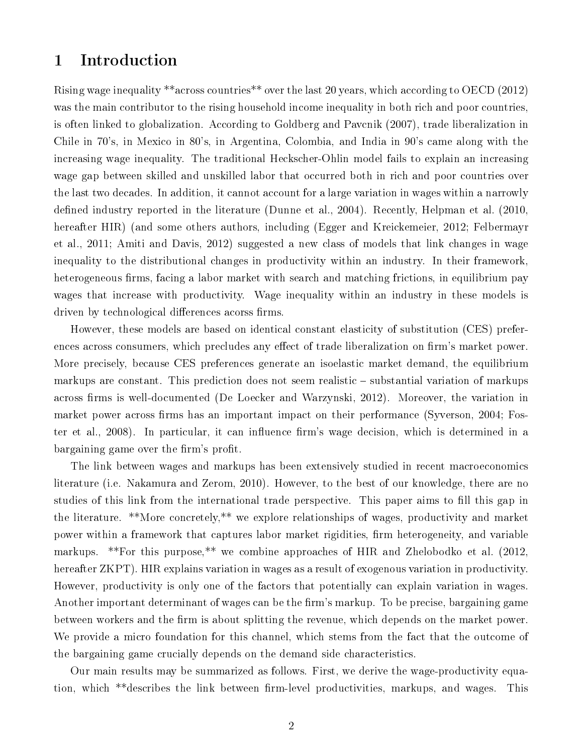## 1 Introduction

Rising wage inequality \*\*across countries\*\* over the last 20 years, which according to OECD (2012) was the main contributor to the rising household income inequality in both rich and poor countries, is often linked to globalization. According to Goldberg and Pavcnik (2007), trade liberalization in Chile in 70's, in Mexico in 80's, in Argentina, Colombia, and India in 90's came along with the increasing wage inequality. The traditional Heckscher-Ohlin model fails to explain an increasing wage gap between skilled and unskilled labor that occurred both in rich and poor countries over the last two decades. In addition, it cannot account for a large variation in wages within a narrowly defined industry reported in the literature (Dunne et al., 2004). Recently, Helpman et al.  $(2010,$ hereafter HIR) (and some others authors, including (Egger and Kreickemeier, 2012; Felbermayr et al., 2011; Amiti and Davis, 2012) suggested a new class of models that link changes in wage inequality to the distributional changes in productivity within an industry. In their framework, heterogeneous firms, facing a labor market with search and matching frictions, in equilibrium pay wages that increase with productivity. Wage inequality within an industry in these models is driven by technological differences acorss firms.

However, these models are based on identical constant elasticity of substitution (CES) preferences across consumers, which precludes any effect of trade liberalization on firm's market power. More precisely, because CES preferences generate an isoelastic market demand, the equilibrium markups are constant. This prediction does not seem realistic – substantial variation of markups across firms is well-documented (De Loecker and Warzynski, 2012). Moreover, the variation in market power across firms has an important impact on their performance (Syverson, 2004; Foster et al., 2008). In particular, it can influence firm's wage decision, which is determined in a bargaining game over the firm's profit.

The link between wages and markups has been extensively studied in recent macroeconomics literature (i.e. Nakamura and Zerom, 2010). However, to the best of our knowledge, there are no studies of this link from the international trade perspective. This paper aims to fill this gap in the literature. \*\*More concretely,\*\* we explore relationships of wages, productivity and market power within a framework that captures labor market rigidities, firm heterogeneity, and variable markups. \*\*For this purpose,\*\* we combine approaches of HIR and Zhelobodko et al. (2012, hereafter ZKPT). HIR explains variation in wages as a result of exogenous variation in productivity. However, productivity is only one of the factors that potentially can explain variation in wages. Another important determinant of wages can be the firm's markup. To be precise, bargaining game between workers and the firm is about splitting the revenue, which depends on the market power. We provide a micro foundation for this channel, which stems from the fact that the outcome of the bargaining game crucially depends on the demand side characteristics.

Our main results may be summarized as follows. First, we derive the wage-productivity equation, which \*\*describes the link between firm-level productivities, markups, and wages. This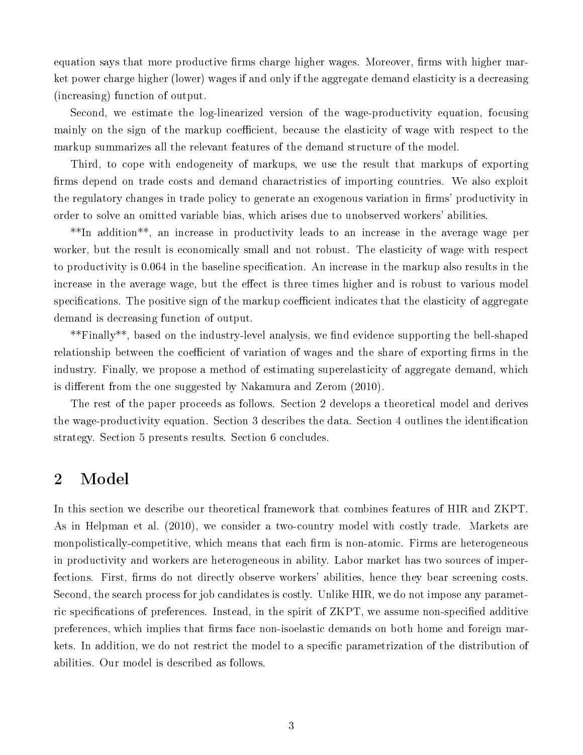equation says that more productive firms charge higher wages. Moreover, firms with higher market power charge higher (lower) wages if and only if the aggregate demand elasticity is a decreasing (increasing) function of output.

Second, we estimate the log-linearized version of the wage-productivity equation, focusing mainly on the sign of the markup coefficient, because the elasticity of wage with respect to the markup summarizes all the relevant features of the demand structure of the model.

Third, to cope with endogeneity of markups, we use the result that markups of exporting firms depend on trade costs and demand charactristics of importing countries. We also exploit the regulatory changes in trade policy to generate an exogenous variation in firms' productivity in order to solve an omitted variable bias, which arises due to unobserved workers' abilities.

\*\*In addition\*\*, an increase in productivity leads to an increase in the average wage per worker, but the result is economically small and not robust. The elasticity of wage with respect to productivity is 0.064 in the baseline specification. An increase in the markup also results in the increase in the average wage, but the effect is three times higher and is robust to various model specifications. The positive sign of the markup coefficient indicates that the elasticity of aggregate demand is decreasing function of output.

\*\*Finally\*\*, based on the industry-level analysis, we find evidence supporting the bell-shaped relationship between the coefficient of variation of wages and the share of exporting firms in the industry. Finally, we propose a method of estimating superelasticity of aggregate demand, which is different from the one suggested by Nakamura and Zerom (2010).

The rest of the paper proceeds as follows. Section 2 develops a theoretical model and derives the wage-productivity equation. Section 3 describes the data. Section 4 outlines the identification strategy. Section 5 presents results. Section 6 concludes.

## 2 Model

In this section we describe our theoretical framework that combines features of HIR and ZKPT. As in Helpman et al. (2010), we consider a two-country model with costly trade. Markets are monpolistically-competitive, which means that each firm is non-atomic. Firms are heterogeneous in productivity and workers are heterogeneous in ability. Labor market has two sources of imperfections. First, firms do not directly observe workers' abilities, hence they bear screening costs. Second, the search process for job candidates is costly. Unlike HIR, we do not impose any parametric specifications of preferences. Instead, in the spirit of ZKPT, we assume non-specified additive preferences, which implies that firms face non-isoelastic demands on both home and foreign markets. In addition, we do not restrict the model to a specific parametrization of the distribution of abilities. Our model is described as follows.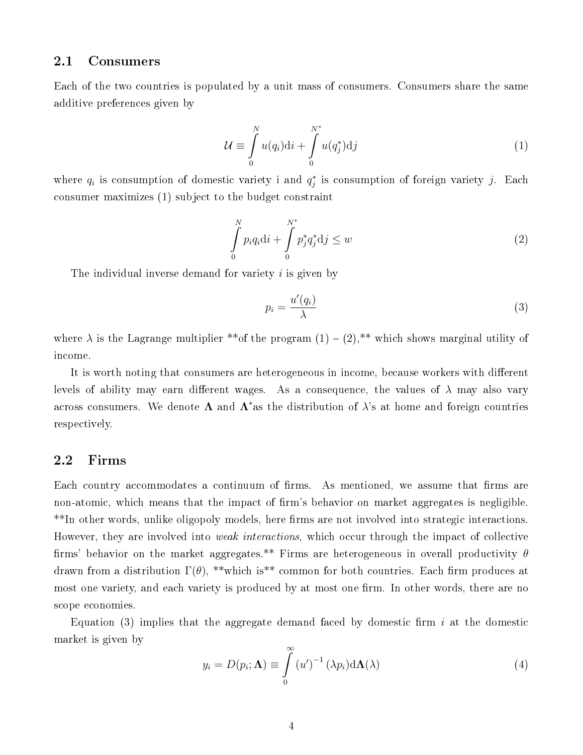#### 2.1 Consumers

Each of the two countries is populated by a unit mass of consumers. Consumers share the same additive preferences given by

$$
\mathcal{U} \equiv \int_{0}^{N} u(q_i) \mathrm{d}i + \int_{0}^{N^*} u(q_j^*) \mathrm{d}j \tag{1}
$$

where  $q_i$  is consumption of domestic variety i and  $q_j^*$  is consumption of foreign variety j. Each consumer maximizes (1) subject to the budget constraint

$$
\int_{0}^{N} p_{i}q_{i}di + \int_{0}^{N^{*}} p_{j}^{*}q_{j}^{*}dj \leq w
$$
\n(2)

The individual inverse demand for variety *i* is given by

$$
p_i = \frac{u'(q_i)}{\lambda} \tag{3}
$$

where  $\lambda$  is the Lagrange multiplier \*\* of the program  $(1) - (2)$ ,\*\* which shows marginal utility of income.

It is worth noting that consumers are heterogeneous in income, because workers with different levels of ability may earn different wages. As a consequence, the values of  $\lambda$  may also vary across consumers. We denote  $\Lambda$  and  $\Lambda^*$ as the distribution of  $\lambda$ 's at home and foreign countries respectively.

### 2.2 Firms

Each country accommodates a continuum of firms. As mentioned, we assume that firms are non-atomic, which means that the impact of firm's behavior on market aggregates is negligible. \*\*In other words, unlike oligopoly models, here firms are not involved into strategic interactions. However, they are involved into *weak interactions*, which occur through the impact of collective firms' behavior on the market aggregates.\*\* Firms are heterogeneous in overall productivity  $\theta$ drawn from a distribution  $\Gamma(\theta)$ , \*\*which is<sup>\*\*</sup> common for both countries. Each firm produces at most one variety, and each variety is produced by at most one firm. In other words, there are no scope economies.

Equation (3) implies that the aggregate demand faced by domestic firm i at the domestic market is given by

$$
y_i = D(p_i; \Lambda) \equiv \int_{0}^{\infty} (u')^{-1} (\lambda p_i) d\Lambda(\lambda)
$$
 (4)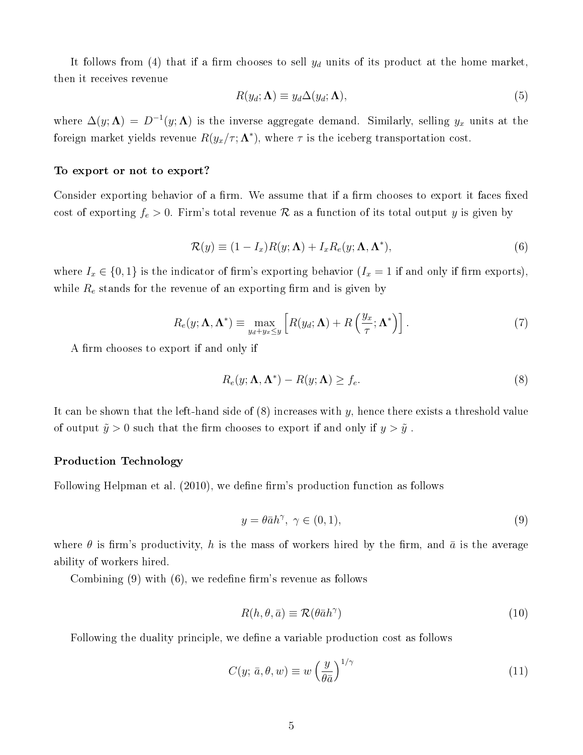It follows from (4) that if a firm chooses to sell  $y_d$  units of its product at the home market, then it receives revenue

$$
R(y_d; \Lambda) \equiv y_d \Delta(y_d; \Lambda), \tag{5}
$$

where  $\Delta(y; \Lambda) = D^{-1}(y; \Lambda)$  is the inverse aggregate demand. Similarly, selling  $y_x$  units at the foreign market yields revenue  $R(y_x/\tau; \mathbf{\Lambda}^*)$ , where  $\tau$  is the iceberg transportation cost.

#### To export or not to export?

Consider exporting behavior of a firm. We assume that if a firm chooses to export it faces fixed cost of exporting  $f_e > 0$ . Firm's total revenue R as a function of its total output y is given by

$$
\mathcal{R}(y) \equiv (1 - I_x)R(y; \Lambda) + I_x R_e(y; \Lambda, \Lambda^*), \tag{6}
$$

where  $I_x \in \{0,1\}$  is the indicator of firm's exporting behavior  $(I_x = 1$  if and only if firm exports), while  $R_e$  stands for the revenue of an exporting firm and is given by

$$
R_e(y; \Lambda, \Lambda^*) \equiv \max_{y_d + y_x \le y} \left[ R(y_d; \Lambda) + R\left(\frac{y_x}{\tau}; \Lambda^*\right) \right]. \tag{7}
$$

A firm chooses to export if and only if

$$
R_e(y; \Lambda, \Lambda^*) - R(y; \Lambda) \ge f_e. \tag{8}
$$

It can be shown that the left-hand side of  $(8)$  increases with y, hence there exists a threshold value of output  $\tilde{y} > 0$  such that the firm chooses to export if and only if  $y > \tilde{y}$ .

#### Production Technology

Following Helpman et al. (2010), we define firm's production function as follows

$$
y = \theta \bar{a}h^{\gamma}, \ \gamma \in (0, 1), \tag{9}
$$

where  $\theta$  is firm's productivity, h is the mass of workers hired by the firm, and  $\bar{a}$  is the average ability of workers hired.

Combining  $(9)$  with  $(6)$ , we redefine firm's revenue as follows

$$
R(h, \theta, \bar{a}) \equiv \mathcal{R}(\theta \bar{a}h^{\gamma})
$$
\n(10)

Following the duality principle, we define a variable production cost as follows

$$
C(y; \bar{a}, \theta, w) \equiv w \left(\frac{y}{\theta \bar{a}}\right)^{1/\gamma} \tag{11}
$$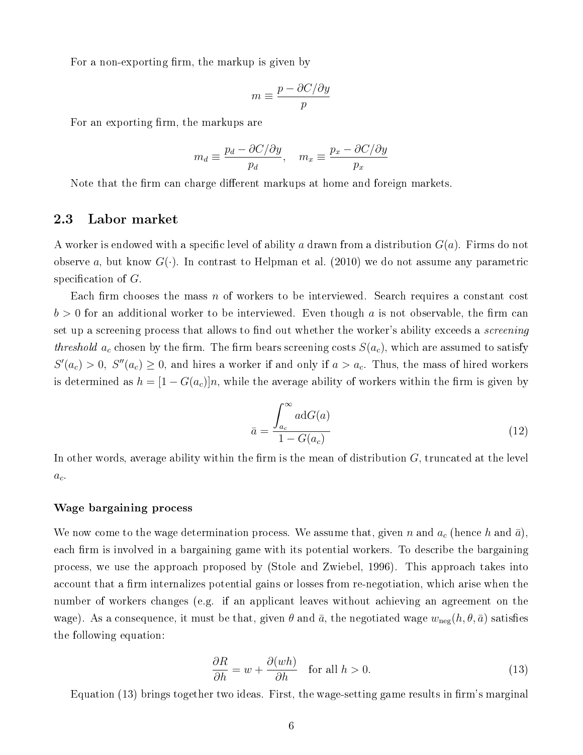For a non-exporting firm, the markup is given by

$$
m \equiv \frac{p - \partial C/\partial y}{p}
$$

For an exporting firm, the markups are

$$
m_d \equiv \frac{p_d - \partial C/\partial y}{p_d}, \quad m_x \equiv \frac{p_x - \partial C/\partial y}{p_x}
$$

Note that the firm can charge different markups at home and foreign markets.

#### 2.3 Labor market

A worker is endowed with a specific level of ability a drawn from a distribution  $G(a)$ . Firms do not observe a, but know  $G(\cdot)$ . In contrast to Helpman et al. (2010) we do not assume any parametric specification of  $G$ .

Each firm chooses the mass n of workers to be interviewed. Search requires a constant cost  $b > 0$  for an additional worker to be interviewed. Even though a is not observable, the firm can set up a screening process that allows to find out whether the worker's ability exceeds a *screening* threshold  $a_c$  chosen by the firm. The firm bears screening costs  $S(a_c)$ , which are assumed to satisfy  $S'(a_c) > 0$ ,  $S''(a_c) \geq 0$ , and hires a worker if and only if  $a > a_c$ . Thus, the mass of hired workers is determined as  $h = [1 - G(a_c)]n$ , while the average ability of workers within the firm is given by

$$
\bar{a} = \frac{\int_{a_c}^{\infty} a \mathrm{d}G(a)}{1 - G(a_c)}\tag{12}
$$

In other words, average ability within the firm is the mean of distribution  $G$ , truncated at the level  $a_{c}.$ 

#### Wage bargaining process

We now come to the wage determination process. We assume that, given n and  $a_c$  (hence h and  $\bar{a}$ ), each firm is involved in a bargaining game with its potential workers. To describe the bargaining process, we use the approach proposed by (Stole and Zwiebel, 1996). This approach takes into account that a firm internalizes potential gains or losses from re-negotiation, which arise when the number of workers changes (e.g. if an applicant leaves without achieving an agreement on the wage). As a consequence, it must be that, given  $\theta$  and  $\bar{a}$ , the negotiated wage  $w_{\text{neg}}(h, \theta, \bar{a})$  satisfies the following equation:

$$
\frac{\partial R}{\partial h} = w + \frac{\partial (wh)}{\partial h} \quad \text{for all } h > 0.
$$
 (13)

Equation (13) brings together two ideas. First, the wage-setting game results in firm's marginal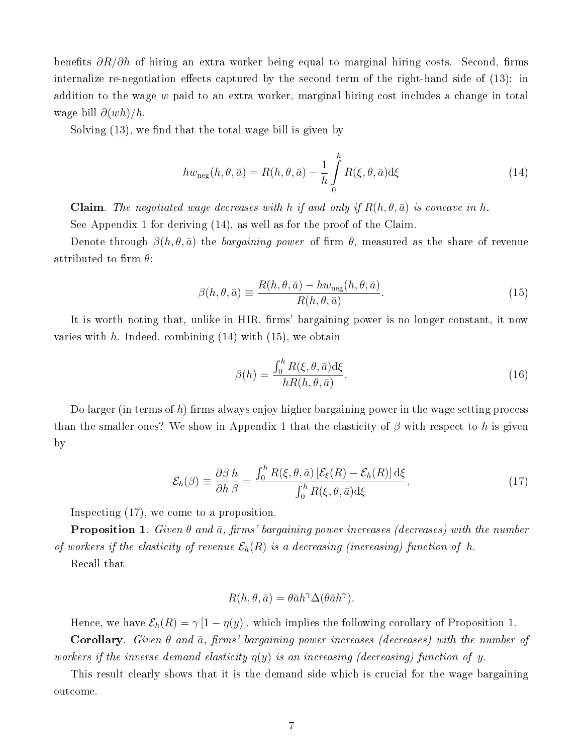benefits  $\partial R/\partial h$  of hiring an extra worker being equal to marginal hiring costs. Second, firms internalize re-negotiation effects captured by the second term of the right-hand side of  $(13)$ : in addition to the wage  $w$  paid to an extra worker, marginal hiring cost includes a change in total wage bill  $\partial (wh)/h$ .

Solving  $(13)$ , we find that the total wage bill is given by

$$
hw_{\text{neg}}(h,\theta,\bar{a}) = R(h,\theta,\bar{a}) - \frac{1}{h} \int_{0}^{h} R(\xi,\theta,\bar{a}) d\xi
$$
 (14)

**Claim**. The negotiated wage decreases with h if and only if  $R(h, \theta, \bar{a})$  is concave in h.

See Appendix 1 for deriving (14), as well as for the proof of the Claim.

Denote through  $\beta(h, \theta, \bar{a})$  the bargaining power of firm  $\theta$ , measured as the share of revenue attributed to firm  $\theta$ :

$$
\beta(h,\theta,\bar{a}) \equiv \frac{R(h,\theta,\bar{a}) - hw_{\text{neg}}(h,\theta,\bar{a})}{R(h,\theta,\bar{a})}.
$$
\n(15)

It is worth noting that, unlike in HIR, firms' bargaining power is no longer constant, it now varies with  $h$ . Indeed, combining (14) with (15), we obtain

$$
\beta(h) = \frac{\int_0^h R(\xi, \theta, \bar{a}) d\xi}{hR(h, \theta, \bar{a})}.
$$
\n(16)

Do larger (in terms of h) firms always enjoy higher bargaining power in the wage setting process than the smaller ones? We show in Appendix 1 that the elasticity of  $\beta$  with respect to h is given by

$$
\mathcal{E}_h(\beta) \equiv \frac{\partial \beta}{\partial h} \frac{h}{\beta} = \frac{\int_0^h R(\xi, \theta, \bar{a}) \left[ \mathcal{E}_\xi(R) - \mathcal{E}_h(R) \right] d\xi}{\int_0^h R(\xi, \theta, \bar{a}) d\xi}.
$$
(17)

Inspecting (17), we come to a proposition.

**Proposition 1.** Given  $\theta$  and  $\bar{a}$ , firms' bargaining power increases (decreases) with the number of workers if the elasticity of revenue  $\mathcal{E}_h(R)$  is a decreasing (increasing) function of h.

Recall that

$$
R(h, \theta, \bar{a}) = \theta \bar{a} h^{\gamma} \Delta(\theta \bar{a} h^{\gamma}).
$$

Hence, we have  $\mathcal{E}_h(R) = \gamma [1 - \eta(y)]$ , which implies the following corollary of Proposition 1.

**Corollary**. Given  $\theta$  and  $\bar{a}$ , firms' bargaining power increases (decreases) with the number of workers if the inverse demand elasticity  $\eta(y)$  is an increasing (decreasing) function of y.

This result clearly shows that it is the demand side which is crucial for the wage bargaining outcome.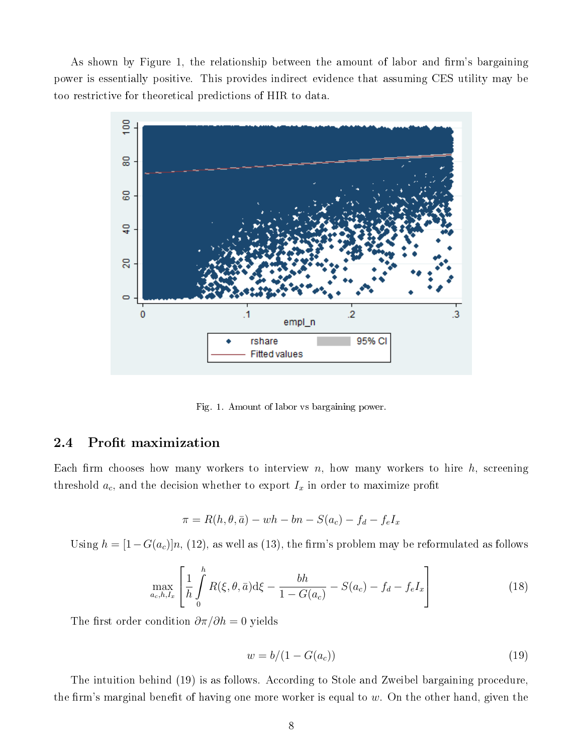As shown by Figure 1, the relationship between the amount of labor and firm's bargaining power is essentially positive. This provides indirect evidence that assuming CES utility may be too restrictive for theoretical predictions of HIR to data.



Fig. 1. Amount of labor vs bargaining power.

## 2.4 Profit maximization

Each firm chooses how many workers to interview  $n$ , how many workers to hire  $h$ , screening threshold  $a_c$ , and the decision whether to export  $I_x$  in order to maximize profit

$$
\pi = R(h, \theta, \bar{a}) - wh - bn - S(a_c) - f_d - f_e I_x
$$

Using  $h = [1 - G(a_c)]n$ , (12), as well as (13), the firm's problem may be reformulated as follows

$$
\max_{a_c, h, I_x} \left[ \frac{1}{h} \int_0^h R(\xi, \theta, \bar{a}) d\xi - \frac{bh}{1 - G(a_c)} - S(a_c) - f_d - f_e I_x \right]
$$
(18)

The first order condition  $\partial \pi / \partial h = 0$  yields

$$
w = b/(1 - G(a_c))\tag{19}
$$

The intuition behind (19) is as follows. According to Stole and Zweibel bargaining procedure, the firm's marginal benefit of having one more worker is equal to  $w$ . On the other hand, given the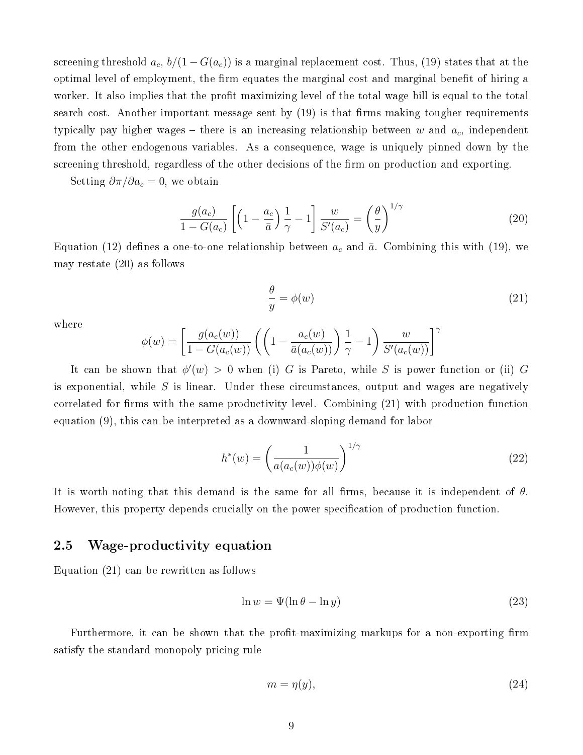screening threshold  $a_c$ ,  $b/(1-G(a_c))$  is a marginal replacement cost. Thus, (19) states that at the optimal level of employment, the firm equates the marginal cost and marginal benefit of hiring a worker. It also implies that the profit maximizing level of the total wage bill is equal to the total search cost. Another important message sent by  $(19)$  is that firms making tougher requirements typically pay higher wages – there is an increasing relationship between w and  $a_c$ , independent from the other endogenous variables. As a consequence, wage is uniquely pinned down by the screening threshold, regardless of the other decisions of the firm on production and exporting.

Setting  $\partial \pi / \partial a_c = 0$ , we obtain

$$
\frac{g(a_c)}{1 - G(a_c)} \left[ \left( 1 - \frac{a_c}{\bar{a}} \right) \frac{1}{\gamma} - 1 \right] \frac{w}{S'(a_c)} = \left( \frac{\theta}{y} \right)^{1/\gamma} \tag{20}
$$

Equation (12) defines a one-to-one relationship between  $a_c$  and  $\bar{a}$ . Combining this with (19), we may restate (20) as follows

$$
\frac{\theta}{y} = \phi(w) \tag{21}
$$

where

$$
\phi(w) = \left[\frac{g(a_c(w))}{1 - G(a_c(w))} \left( \left(1 - \frac{a_c(w)}{\bar{a}(a_c(w))}\right) \frac{1}{\gamma} - 1 \right) \frac{w}{S'(a_c(w))} \right]^\gamma
$$

It can be shown that  $\phi'(w) > 0$  when (i) G is Pareto, while S is power function or (ii) G is exponential, while  $S$  is linear. Under these circumstances, output and wages are negatively correlated for firms with the same productivity level. Combining (21) with production function equation (9), this can be interpreted as a downward-sloping demand for labor

$$
h^*(w) = \left(\frac{1}{a(a_c(w))\phi(w)}\right)^{1/\gamma} \tag{22}
$$

It is worth-noting that this demand is the same for all firms, because it is independent of  $\theta$ . However, this property depends crucially on the power specification of production function.

## 2.5 Wage-productivity equation

Equation (21) can be rewritten as follows

$$
\ln w = \Psi(\ln \theta - \ln y) \tag{23}
$$

Furthermore, it can be shown that the profit-maximizing markups for a non-exporting firm satisfy the standard monopoly pricing rule

$$
m = \eta(y),\tag{24}
$$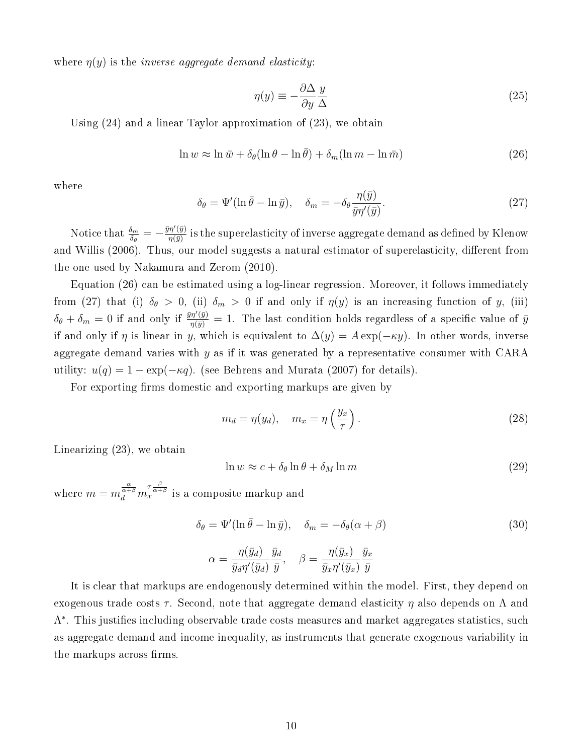where  $\eta(y)$  is the *inverse aggregate demand elasticity*:

$$
\eta(y) \equiv -\frac{\partial \Delta}{\partial y} \frac{y}{\Delta} \tag{25}
$$

Using (24) and a linear Taylor approximation of (23), we obtain

$$
\ln w \approx \ln \bar{w} + \delta_{\theta} (\ln \theta - \ln \bar{\theta}) + \delta_{m} (\ln m - \ln \bar{m})
$$
\n(26)

where

$$
\delta_{\theta} = \Psi'(\ln \bar{\theta} - \ln \bar{y}), \quad \delta_{m} = -\delta_{\theta} \frac{\eta(\bar{y})}{\bar{y}\eta'(\bar{y})}.
$$
\n(27)

Notice that  $\frac{\delta_m}{\delta_\theta} = -\frac{\bar{y}\eta'(\bar{y})}{\eta(\bar{y})}$  $\frac{\eta\gamma\left(y\right)}{\eta\left(\bar{y}\right)}$  is the superelasticity of inverse aggregate demand as defined by Klenow and Willis (2006). Thus, our model suggests a natural estimator of superelasticity, different from the one used by Nakamura and Zerom (2010).

Equation (26) can be estimated using a log-linear regression. Moreover, it follows immediately from (27) that (i)  $\delta_{\theta} > 0$ , (ii)  $\delta_{m} > 0$  if and only if  $\eta(y)$  is an increasing function of y, (iii)  $\delta_{\theta} + \delta_m = 0$  if and only if  $\frac{\bar{y}\eta'(\bar{y})}{\eta(\bar{y})} = 1$ . The last condition holds regardless of a specific value of  $\bar{y}$ if and only if  $\eta$  is linear in y, which is equivalent to  $\Delta(y) = A \exp(-\kappa y)$ . In other words, inverse aggregate demand varies with  $y$  as if it was generated by a representative consumer with CARA utility:  $u(q) = 1 - \exp(-\kappa q)$ . (see Behrens and Murata (2007) for details).

For exporting firms domestic and exporting markups are given by

$$
m_d = \eta(y_d), \quad m_x = \eta\left(\frac{y_x}{\tau}\right). \tag{28}
$$

Linearizing (23), we obtain

$$
\ln w \approx c + \delta_{\theta} \ln \theta + \delta_M \ln m \tag{29}
$$

where  $m=m^{\frac{\alpha}{\alpha+\beta}}_dm^{\tau \frac{\beta}{\alpha+\beta}}_x$  is a composite markup and

$$
\delta_{\theta} = \Psi'(\ln \bar{\theta} - \ln \bar{y}), \quad \delta_m = -\delta_{\theta}(\alpha + \beta)
$$
\n(30)

$$
\alpha = \frac{\eta(\bar{y}_d)}{\bar{y}_d \eta'(\bar{y}_d)} \frac{\bar{y}_d}{\bar{y}}, \quad \beta = \frac{\eta(\bar{y}_x)}{\bar{y}_x \eta'(\bar{y}_x)} \frac{\bar{y}_x}{\bar{y}}
$$

It is clear that markups are endogenously determined within the model. First, they depend on exogenous trade costs  $\tau$ . Second, note that aggregate demand elasticity  $\eta$  also depends on  $\Lambda$  and  $Λ<sup>*</sup>$ . This justifies including observable trade costs measures and market aggregates statistics, such as aggregate demand and income inequality, as instruments that generate exogenous variability in the markups across firms.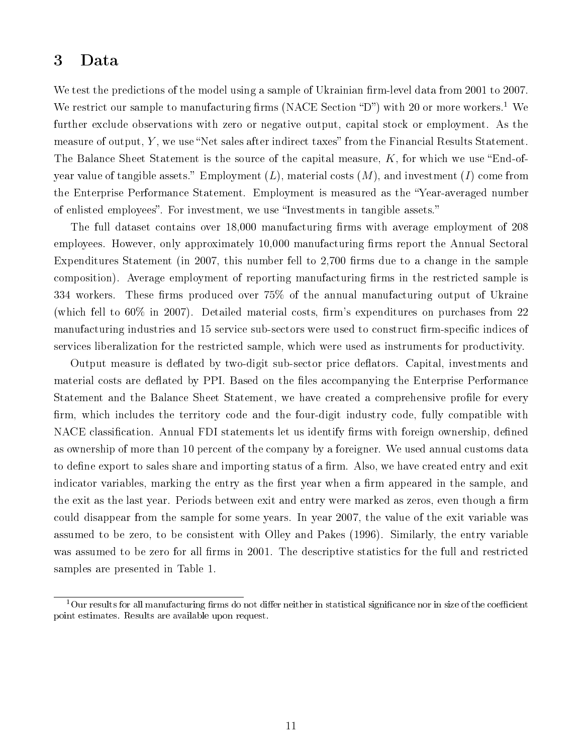# 3 Data

We test the predictions of the model using a sample of Ukrainian firm-level data from 2001 to 2007. We restrict our sample to manufacturing firms (NACE Section "D") with 20 or more workers.<sup>1</sup> We further exclude observations with zero or negative output, capital stock or employment. As the measure of output,  $Y$ , we use "Net sales after indirect taxes" from the Financial Results Statement. The Balance Sheet Statement is the source of the capital measure,  $K$ , for which we use "End-ofyear value of tangible assets." Employment  $(L)$ , material costs  $(M)$ , and investment  $(I)$  come from the Enterprise Performance Statement. Employment is measured as the Year-averaged number of enlisted employees". For investment, we use "Investments in tangible assets."

The full dataset contains over 18,000 manufacturing firms with average employment of 208 employees. However, only approximately 10,000 manufacturing firms report the Annual Sectoral Expenditures Statement (in 2007, this number fell to 2,700 firms due to a change in the sample composition). Average employment of reporting manufacturing firms in the restricted sample is 334 workers. These firms produced over  $75\%$  of the annual manufacturing output of Ukraine (which fell to  $60\%$  in  $2007$ ). Detailed material costs, firm's expenditures on purchases from 22 manufacturing industries and 15 service sub-sectors were used to construct firm-specific indices of services liberalization for the restricted sample, which were used as instruments for productivity.

Output measure is deflated by two-digit sub-sector price deflators. Capital, investments and material costs are deflated by PPI. Based on the files accompanying the Enterprise Performance Statement and the Balance Sheet Statement, we have created a comprehensive profile for every firm, which includes the territory code and the four-digit industry code, fully compatible with NACE classification. Annual FDI statements let us identify firms with foreign ownership, defined as ownership of more than 10 percent of the company by a foreigner. We used annual customs data to define export to sales share and importing status of a firm. Also, we have created entry and exit indicator variables, marking the entry as the first year when a firm appeared in the sample, and the exit as the last year. Periods between exit and entry were marked as zeros, even though a firm could disappear from the sample for some years. In year 2007, the value of the exit variable was assumed to be zero, to be consistent with Olley and Pakes (1996). Similarly, the entry variable was assumed to be zero for all firms in 2001. The descriptive statistics for the full and restricted samples are presented in Table 1.

 $1$ Our results for all manufacturing firms do not differ neither in statistical significance nor in size of the coefficient point estimates. Results are available upon request.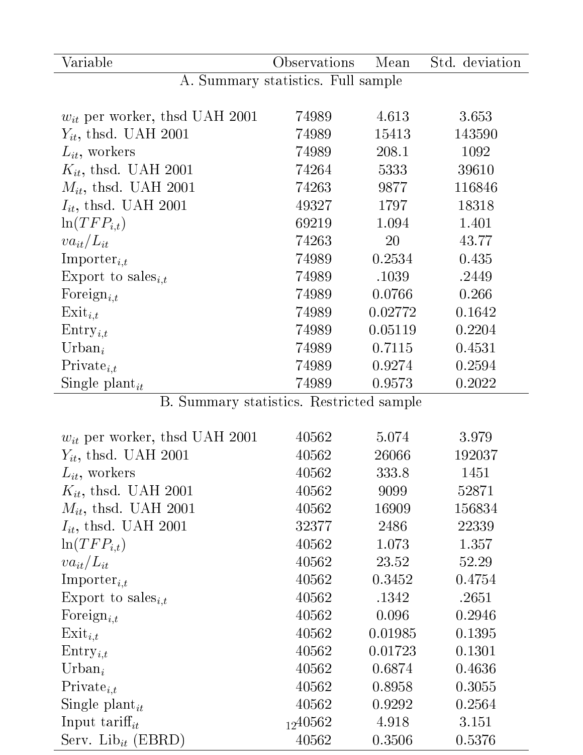| Variable                                 | Observations                       | Mean    | Std. deviation |
|------------------------------------------|------------------------------------|---------|----------------|
|                                          | A. Summary statistics. Full sample |         |                |
|                                          |                                    |         |                |
| $w_{it}$ per worker, thsd UAH 2001       | 74989                              | 4.613   | 3.653          |
| $Y_{it}$ , thsd. UAH 2001                | 74989                              | 15413   | 143590         |
| $L_{it}$ , workers                       | 74989                              | 208.1   | 1092           |
| $K_{it}$ , thsd. UAH 2001                | 74264                              | 5333    | 39610          |
| $M_{it}$ , thsd. UAH 2001                | 74263                              | 9877    | 116846         |
| $I_{it}$ , thsd. UAH 2001                | 49327                              | 1797    | 18318          |
| $\ln(TFP_{i,t})$                         | 69219                              | 1.094   | 1.401          |
| $va_{it}/L_{it}$                         | 74263                              | 20      | 43.77          |
| Importer <sub>it</sub>                   | 74989                              | 0.2534  | 0.435          |
| Export to sales <sub><i>i,t</i></sub>    | 74989                              | .1039   | .2449          |
| Foreign <sub>i,t</sub>                   | 74989                              | 0.0766  | 0.266          |
| $Exit_{i,t}$                             | 74989                              | 0.02772 | 0.1642         |
| $\text{Entry}_{i,t}$                     | 74989                              | 0.05119 | 0.2204         |
| Urban <sub>i</sub>                       | 74989                              | 0.7115  | 0.4531         |
| $Private_{i,t}$                          | 74989                              | 0.9274  | 0.2594         |
| Single plant <sub>it</sub>               | 74989                              | 0.9573  | 0.2022         |
| B. Summary statistics. Restricted sample |                                    |         |                |
|                                          |                                    |         |                |
| $w_{it}$ per worker, thsd UAH 2001       | 40562                              | 5.074   | 3.979          |
| $Y_{it}$ , thsd. UAH 2001                | 40562                              | 26066   | 192037         |
| $L_{it}$ , workers                       | 40562                              | 333.8   | 1451           |
| $K_{it}$ , thsd. UAH 2001                | 40562                              | 9099    | 52871          |
| $M_{it}$ , thsd. UAH 2001                | 40562                              | 16909   | 156834         |
| $I_{it}$ , thsd. UAH 2001                | 32377                              | 2486    | 22339          |
| $\ln(TFP_{i,t})$                         | 40562                              | 1.073   | 1.357          |
| $va_{it}/L_{it}$                         | 40562                              | 23.52   | 52.29          |
| $Importer_{i,t}$                         | 40562                              | 0.3452  | 0.4754         |
| Export to sales <sub><i>i,t</i></sub>    | 40562                              | .1342   | .2651          |
| Foreign <sub>i,t</sub>                   | 40562                              | 0.096   | 0.2946         |
| $\text{Exit}_{i,t}$                      | 40562                              | 0.01985 | 0.1395         |
| $Entry_{i,t}$                            | 40562                              | 0.01723 | 0.1301         |
| $Urban_i$                                | 40562                              | 0.6874  | 0.4636         |
| $Private_{i,t}$                          | 40562                              | 0.8958  | 0.3055         |
| Single plant <sub>it</sub>               | 40562                              | 0.9292  | 0.2564         |
| Input tariff <sub>it</sub>               | 1240562                            | 4.918   | 3.151          |
| Serv. Lib <sub>it</sub> (EBRD)           | 40562                              | 0.3506  | 0.5376         |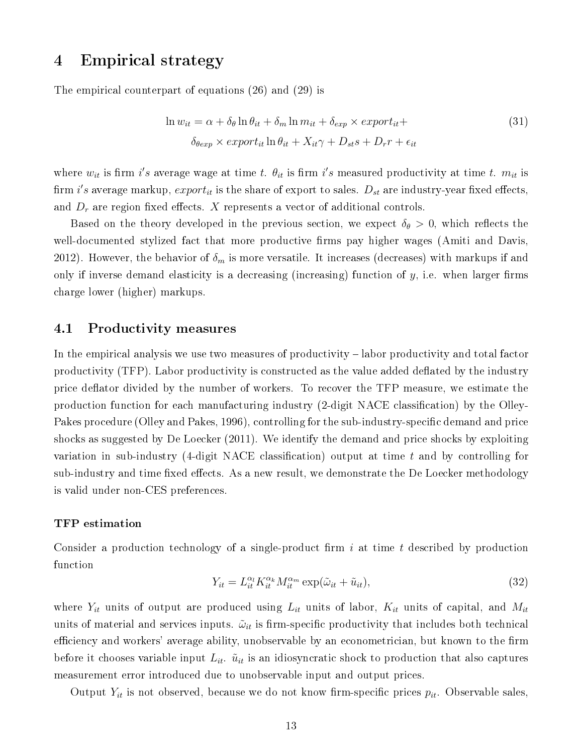# 4 Empirical strategy

The empirical counterpart of equations (26) and (29) is

$$
\ln w_{it} = \alpha + \delta_{\theta} \ln \theta_{it} + \delta_{m} \ln m_{it} + \delta_{exp} \times export_{it} +
$$
  

$$
\delta_{\theta exp} \times export_{it} \ln \theta_{it} + X_{it} \gamma + D_{st} s + D_{r} r + \epsilon_{it}
$$
\n(31)

where  $w_{it}$  is firm i's average wage at time t.  $\theta_{it}$  is firm i's measured productivity at time t.  $m_{it}$  is firm i's average markup,  $export_{it}$  is the share of export to sales.  $D_{st}$  are industry-year fixed effects, and  $D_r$  are region fixed effects. X represents a vector of additional controls.

Based on the theory developed in the previous section, we expect  $\delta_{\theta} > 0$ , which reflects the well-documented stylized fact that more productive firms pay higher wages (Amiti and Davis, 2012). However, the behavior of  $\delta_m$  is more versatile. It increases (decreases) with markups if and only if inverse demand elasticity is a decreasing (increasing) function of  $y$ , i.e. when larger firms charge lower (higher) markups.

## 4.1 Productivity measures

In the empirical analysis we use two measures of productivity – labor productivity and total factor productivity (TFP). Labor productivity is constructed as the value added deflated by the industry price deflator divided by the number of workers. To recover the TFP measure, we estimate the production function for each manufacturing industry (2-digit NACE classification) by the Olley-Pakes procedure (Olley and Pakes, 1996), controlling for the sub-industry-specific demand and price shocks as suggested by De Loecker (2011). We identify the demand and price shocks by exploiting variation in sub-industry (4-digit NACE classification) output at time  $t$  and by controlling for sub-industry and time fixed effects. As a new result, we demonstrate the De Loecker methodology is valid under non-CES preferences.

#### TFP estimation

Consider a production technology of a single-product firm i at time t described by production function

$$
Y_{it} = L_{it}^{\alpha_l} K_{it}^{\alpha_k} M_{it}^{\alpha_m} \exp(\tilde{\omega}_{it} + \tilde{u}_{it}), \qquad (32)
$$

where  $Y_{it}$  units of output are produced using  $L_{it}$  units of labor,  $K_{it}$  units of capital, and  $M_{it}$ units of material and services inputs.  $\tilde{\omega}_{it}$  is firm-specific productivity that includes both technical efficiency and workers' average ability, unobservable by an econometrician, but known to the firm before it chooses variable input  $L_{it}$ .  $\tilde{u}_{it}$  is an idiosyncratic shock to production that also captures measurement error introduced due to unobservable input and output prices.

Output  $Y_{it}$  is not observed, because we do not know firm-specific prices  $p_{it}$ . Observable sales,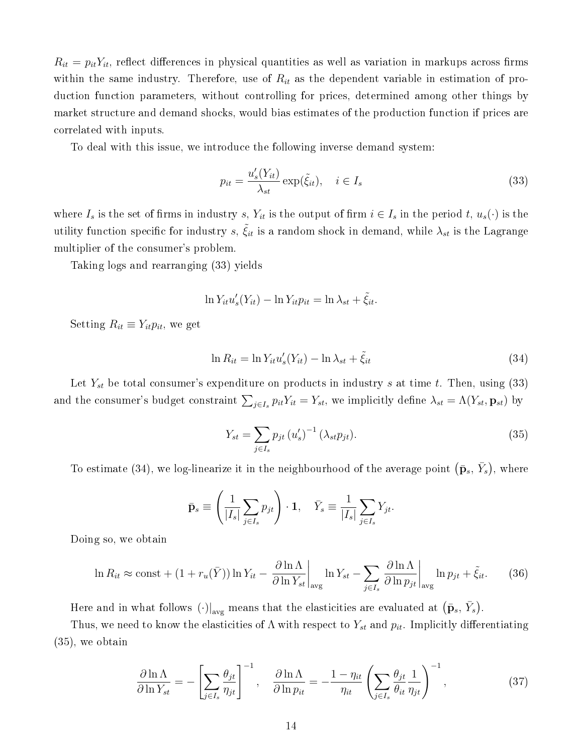$R_{it} = p_{it}Y_{it}$ , reflect differences in physical quantities as well as variation in markups across firms within the same industry. Therefore, use of  $R_{it}$  as the dependent variable in estimation of production function parameters, without controlling for prices, determined among other things by market structure and demand shocks, would bias estimates of the production function if prices are correlated with inputs.

To deal with this issue, we introduce the following inverse demand system:

$$
p_{it} = \frac{u_s'(Y_{it})}{\lambda_{st}} \exp(\tilde{\xi}_{it}), \quad i \in I_s
$$
\n(33)

where  $I_s$  is the set of firms in industry s,  $Y_{it}$  is the output of firm  $i \in I_s$  in the period t,  $u_s(\cdot)$  is the utility function specific for industry  $s, \, \tilde{\xi}_{it}$  is a random shock in demand, while  $\lambda_{st}$  is the Lagrange multiplier of the consumer's problem.

Taking logs and rearranging (33) yields

$$
\ln Y_{it} u_s'(Y_{it}) - \ln Y_{it} p_{it} = \ln \lambda_{st} + \tilde{\xi}_{it}.
$$

Setting  $R_{it} \equiv Y_{it} p_{it}$ , we get

$$
\ln R_{it} = \ln Y_{it} u_s'(Y_{it}) - \ln \lambda_{st} + \tilde{\xi}_{it}
$$
\n(34)

Let  $Y_{st}$  be total consumer's expenditure on products in industry s at time t. Then, using (33) and the consumer's budget constraint  $\sum_{j\in I_s} p_{it}Y_{it} = Y_{st}$ , we implicitly define  $\lambda_{st} = \Lambda(Y_{st}, \mathbf{p}_{st})$  by

$$
Y_{st} = \sum_{j \in I_s} p_{jt} (u'_s)^{-1} (\lambda_{st} p_{jt}).
$$
\n(35)

To estimate (34), we log-linearize it in the neighbourhood of the average point  $(\bar{\mathbf{p}}_s, \bar{Y}_s)$ , where

$$
\bar{\mathbf{p}}_s \equiv \left(\frac{1}{|I_s|} \sum_{j \in I_s} p_{jt}\right) \cdot \mathbf{1}, \quad \bar{Y}_s \equiv \frac{1}{|I_s|} \sum_{j \in I_s} Y_{jt}.
$$

Doing so, we obtain

$$
\ln R_{it} \approx \text{const} + (1 + r_u(\bar{Y})) \ln Y_{it} - \left. \frac{\partial \ln \Lambda}{\partial \ln Y_{st}} \right|_{\text{avg}} \ln Y_{st} - \sum_{j \in I_s} \left. \frac{\partial \ln \Lambda}{\partial \ln p_{jt}} \right|_{\text{avg}} \ln p_{jt} + \tilde{\xi}_{it}.
$$
 (36)

Here and in what follows  $(\cdot)|_{\text{avg}}$  means that the elasticities are evaluated at  $(\bar{\mathbf{p}}_s, \bar{Y}_s)$ .

Thus, we need to know the elasticities of  $\Lambda$  with respect to  $Y_{st}$  and  $p_{it}$ . Implicitly differentiating (35), we obtain

$$
\frac{\partial \ln \Lambda}{\partial \ln Y_{st}} = -\left[\sum_{j \in I_s} \frac{\theta_{jt}}{\eta_{jt}}\right]^{-1}, \quad \frac{\partial \ln \Lambda}{\partial \ln p_{it}} = -\frac{1 - \eta_{it}}{\eta_{it}} \left(\sum_{j \in I_s} \frac{\theta_{jt}}{\theta_{it}} \frac{1}{\eta_{jt}}\right)^{-1},\tag{37}
$$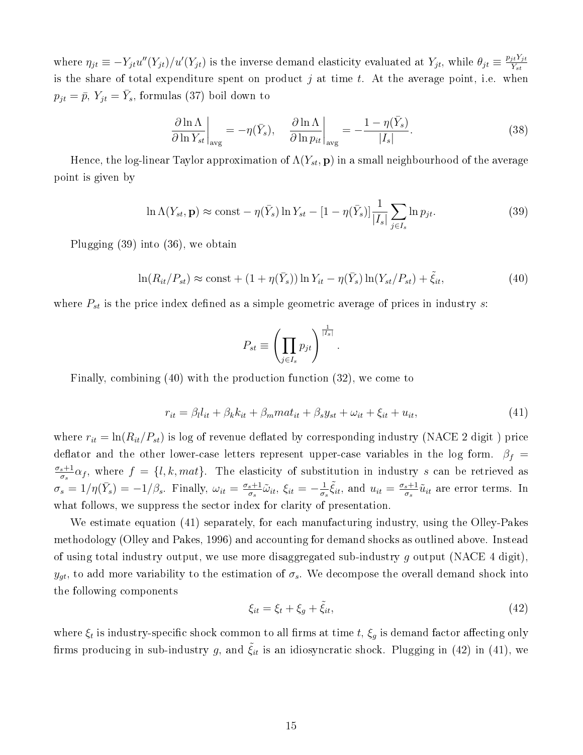where  $\eta_{jt} \equiv -Y_{jt}u''(Y_{jt})/u'(Y_{jt})$  is the inverse demand elasticity evaluated at  $Y_{jt}$ , while  $\theta_{jt} \equiv \frac{p_{jt}Y_{jt}}{Y_{jt}}$  $Y_{st}$ is the share of total expenditure spent on product  $j$  at time  $t$ . At the average point, i.e. when  $p_{jt} = \bar{p}, Y_{jt} = \bar{Y}_s$ , formulas (37) boil down to

$$
\frac{\partial \ln \Lambda}{\partial \ln Y_{st}}\bigg|_{\text{avg}} = -\eta(\bar{Y}_s), \quad \frac{\partial \ln \Lambda}{\partial \ln p_{it}}\bigg|_{\text{avg}} = -\frac{1 - \eta(\bar{Y}_s)}{|I_s|}. \tag{38}
$$

Hence, the log-linear Taylor approximation of  $\Lambda(Y_{st}, \mathbf{p})$  in a small neighbourhood of the average point is given by

$$
\ln \Lambda(Y_{st}, \mathbf{p}) \approx \text{const} - \eta(\bar{Y}_s) \ln Y_{st} - [1 - \eta(\bar{Y}_s)] \frac{1}{|I_s|} \sum_{j \in I_s} \ln p_{jt}.
$$
 (39)

Plugging (39) into (36), we obtain

$$
\ln(R_{it}/P_{st}) \approx \text{const} + (1 + \eta(\bar{Y}_s)) \ln Y_{it} - \eta(\bar{Y}_s) \ln(Y_{st}/P_{st}) + \tilde{\xi}_{it},\tag{40}
$$

.

where  $P_{st}$  is the price index defined as a simple geometric average of prices in industry s:

$$
P_{st} \equiv \left(\prod_{j\in I_s} p_{jt}\right)^{\frac{1}{|I_s|}}
$$

Finally, combining (40) with the production function (32), we come to

$$
r_{it} = \beta_l l_{it} + \beta_k k_{it} + \beta_m m a t_{it} + \beta_s y_{st} + \omega_{it} + \xi_{it} + u_{it},\tag{41}
$$

where  $r_{it} = \ln(R_{it}/P_{st})$  is log of revenue deflated by corresponding industry (NACE 2 digit) price deflator and the other lower-case letters represent upper-case variables in the log form.  $\beta_f$  =  $\sigma_s+1$  $\frac{s+1}{\sigma_s}\alpha_f$ , where  $f = \{l, k, mat\}$ . The elasticity of substitution in industry s can be retrieved as  $\sigma_s = 1/\eta(\bar{Y}_s) = -1/\beta_s$ . Finally,  $\omega_{it} = \frac{\sigma_s + 1}{\sigma_s}$  $\frac{s+1}{\sigma_s}\tilde{\omega}_{it},\,\xi_{it}=-\frac{1}{\sigma_s}$  $\frac{1}{\sigma_s} \tilde{\xi}_{it}$ , and  $u_{it} = \frac{\sigma_s + 1}{\sigma_s}$  $\frac{s+1}{\sigma_s} \tilde{u}_{it}$  are error terms. In what follows, we suppress the sector index for clarity of presentation.

We estimate equation (41) separately, for each manufacturing industry, using the Olley-Pakes methodology (Olley and Pakes, 1996) and accounting for demand shocks as outlined above. Instead of using total industry output, we use more disaggregated sub-industry g output (NACE 4 digit),  $y_{gt}$ , to add more variability to the estimation of  $\sigma_s$ . We decompose the overall demand shock into the following components

$$
\xi_{it} = \xi_t + \xi_g + \tilde{\xi}_{it},\tag{42}
$$

where  $\xi_t$  is industry-specific shock common to all firms at time  $t, \, \xi_g$  is demand factor affecting only firms producing in sub-industry g, and  $\xi_{it}$  is an idiosyncratic shock. Plugging in (42) in (41), we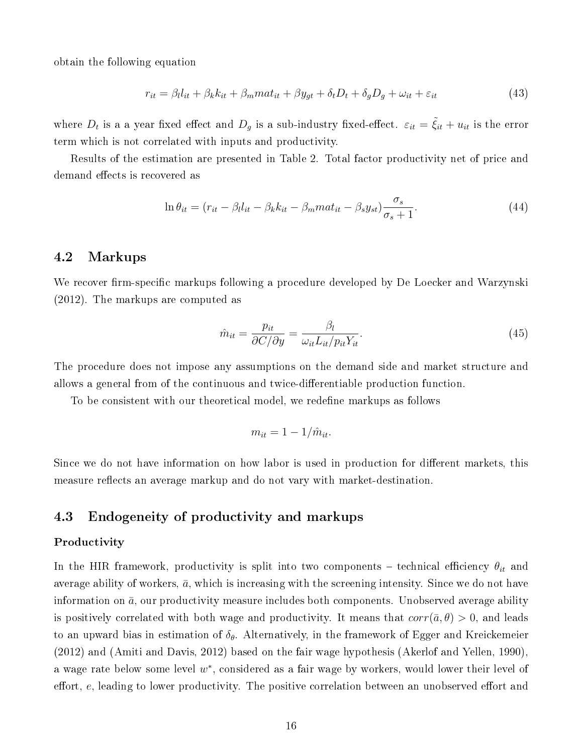obtain the following equation

$$
r_{it} = \beta_l l_{it} + \beta_k k_{it} + \beta_m m a t_{it} + \beta y_{gt} + \delta_t D_t + \delta_g D_g + \omega_{it} + \varepsilon_{it}
$$
\n(43)

where  $D_t$  is a a year fixed effect and  $D_g$  is a sub-industry fixed-effect.  $\varepsilon_{it} = \tilde{\xi}_{it} + u_{it}$  is the error term which is not correlated with inputs and productivity.

Results of the estimation are presented in Table 2. Total factor productivity net of price and demand effects is recovered as

$$
\ln \theta_{it} = (r_{it} - \beta_l l_{it} - \beta_k k_{it} - \beta_m m a t_{it} - \beta_s y_{st}) \frac{\sigma_s}{\sigma_s + 1}.
$$
\n(44)

## 4.2 Markups

We recover firm-specific markups following a procedure developed by De Loecker and Warzynski (2012). The markups are computed as

$$
\hat{m}_{it} = \frac{p_{it}}{\partial C/\partial y} = \frac{\beta_l}{\omega_{it} L_{it}/p_{it} Y_{it}}.
$$
\n(45)

The procedure does not impose any assumptions on the demand side and market structure and allows a general from of the continuous and twice-differentiable production function.

To be consistent with our theoretical model, we redene markups as follows

$$
m_{it} = 1 - 1/\hat{m}_{it}.
$$

Since we do not have information on how labor is used in production for different markets, this measure reflects an average markup and do not vary with market-destination.

### 4.3 Endogeneity of productivity and markups

#### Productivity

In the HIR framework, productivity is split into two components - technical efficiency  $\theta_{it}$  and average ability of workers,  $\bar{a}$ , which is increasing with the screening intensity. Since we do not have information on  $\bar{a}$ , our productivity measure includes both components. Unobserved average ability is positively correlated with both wage and productivity. It means that  $corr(\bar{a}, \theta) > 0$ , and leads to an upward bias in estimation of  $\delta_{\theta}$ . Alternatively, in the framework of Egger and Kreickemeier (2012) and (Amiti and Davis, 2012) based on the fair wage hypothesis (Akerlof and Yellen, 1990), a wage rate below some level  $w^*$ , considered as a fair wage by workers, would lower their level of effort, e, leading to lower productivity. The positive correlation between an unobserved effort and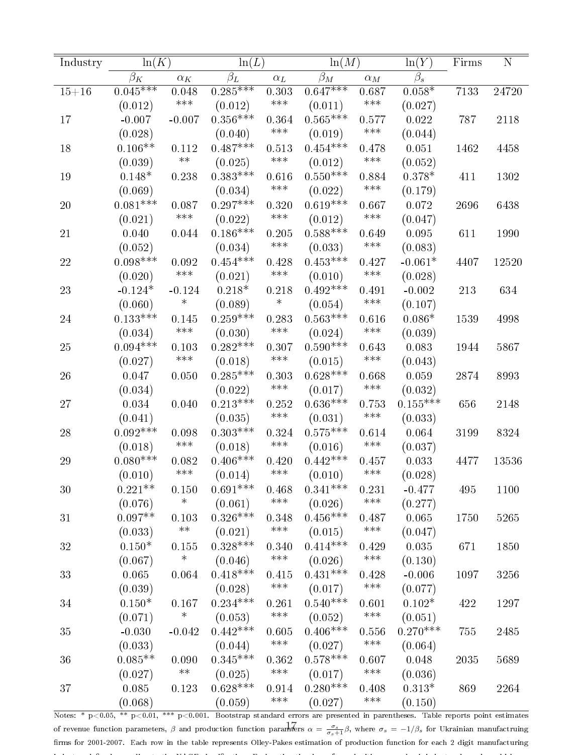| Industry  | ln(K)                 |                    | ln(L)                      |                             |            | ln(M)              |             | Firms | ${\bf N}$ |
|-----------|-----------------------|--------------------|----------------------------|-----------------------------|------------|--------------------|-------------|-------|-----------|
|           | $\beta_K$             | $\alpha_K$         | $\overline{\beta}_L$       | $\alpha_L$                  | $\beta_M$  | $\alpha_M$         | $\beta_s$   |       |           |
| $15 + 16$ | $0.045***$            | 0.048              | $0.285***$                 | 0.303                       | $0.647***$ | 0.687              | $0.058*$    | 7133  | 24720     |
|           | (0.012)               | $***$              | (0.012)                    | $\ast\ast\ast$              | (0.011)    | $***$              | (0.027)     |       |           |
| 17        | $-0.007$              | $-0.007$           | $0.356***$                 | 0.364                       | $0.565***$ | 0.577              | $\,0.022\,$ | 787   | 2118      |
|           | (0.028)               |                    | (0.040)                    | $\ast\ast\ast$              | (0.019)    | $***$              | (0.044)     |       |           |
| 18        | $0.106^{\ast\ast}$    | 0.112              | $0.487***$                 | 0.513                       | $0.454***$ | 0.478              | 0.051       | 1462  | 4458      |
|           | (0.039)               | $***$              | (0.025)                    | $\ast\ast\ast$              | (0.012)    | $***$              | (0.052)     |       |           |
| $19\,$    | $0.148*$              | 0.238              | $0.383***$                 | 0.616                       | $0.550***$ | 0.884              | $0.378*$    | 411   | 1302      |
|           | (0.069)               |                    | (0.034)                    | $***$                       | (0.022)    | $***$              | (0.179)     |       |           |
| 20        | $0.081^{***}\;$       | 0.087              | $0.297***$                 | 0.320                       | $0.619***$ | 0.667              | 0.072       | 2696  | 6438      |
|           | (0.021)               | $***$              | (0.022)                    | $\ast\ast\ast$              | (0.012)    | $***$              | (0.047)     |       |           |
| $21\,$    | 0.040                 | $\,0.044\,$        | $0.186***$                 | 0.205                       | $0.588***$ | 0.649              | 0.095       | 611   | 1990      |
|           | (0.052)               |                    | (0.034)                    | $***$                       | (0.033)    | $***$              | (0.083)     |       |           |
| 22        | $0.098***$            | 0.092              | $0.454***$                 | 0.428                       | $0.453***$ | 0.427              | $-0.061*$   | 4407  | 12520     |
|           | (0.020)               | $***$              | (0.021)                    | $***$                       | (0.010)    | $***$              | (0.028)     |       |           |
| 23        | $-0.124*$             | $-0.124$           | $0.218*$                   | 0.218                       | $0.492***$ | 0.491              | $-0.002$    | 213   | 634       |
|           | (0.060)               | $\ast$             | (0.089)                    | $\ast$                      | (0.054)    | $\ast\!\ast\!\ast$ | (0.107)     |       |           |
| 24        | $0.133^{***}\;$       | 0.145              | $0.259***$                 | 0.283                       | $0.563***$ | 0.616              | $0.086*$    | 1539  | 4998      |
|           | (0.034)               | $***$              | (0.030)                    | $\ast\ast\ast$              | (0.024)    | $***$              | (0.039)     |       |           |
| $25\,$    | $0.094***$            | 0.103              | $0.282***$                 | 0.307                       | $0.590***$ | 0.643              | 0.083       | 1944  | 5867      |
|           | (0.027)               | $\ast\!\ast\!\ast$ | (0.018)                    | $***$                       | (0.015)    | $***$              | (0.043)     |       |           |
| 26        | 0.047                 | 0.050              | $0.285***$                 | 0.303                       | $0.628***$ | 0.668              | 0.059       | 2874  | 8993      |
|           |                       |                    | (0.022)                    | $***$                       | (0.017)    | $***$              | (0.032)     |       |           |
| $27\,$    | (0.034)               |                    | $0.213***$                 | 0.252                       | $0.636***$ | 0.753              | $0.155***$  | 656   |           |
|           | 0.034                 | 0.040              |                            | $***$                       |            | $***$              |             |       | 2148      |
|           | (0.041)<br>$0.092***$ |                    | (0.035)<br>$0.303^{***}\;$ |                             | (0.031)    |                    | (0.033)     |       |           |
| 28        |                       | 0.098<br>$***$     |                            | 0.324<br>$\ast\!\ast\!\ast$ | $0.575***$ | 0.614<br>$***$     | 0.064       | 3199  | 8324      |
|           | (0.018)               |                    | (0.018)                    |                             | (0.016)    |                    | (0.037)     |       |           |
| 29        | $0.080***$            | 0.082<br>$***$     | $0.406***$                 | 0.420<br>$***$              | $0.442***$ | 0.457<br>$***$     | 0.033       | 4477  | 13536     |
|           | (0.010)               |                    | (0.014)                    |                             | (0.010)    |                    | (0.028)     |       |           |
| 30        | $0.221**$             | 0.150              | $0.691^{\ast\ast\ast}$     | 0.468                       | $0.341***$ | 0.231              | $-0.477$    | 495   | 1100      |
|           | (0.076)               | $\ast$             | (0.061)                    | $***$                       | (0.026)    | $***$              | (0.277)     |       |           |
| 31        | $0.097**$             | 0.103              | $0.326***$                 | 0.348                       | $0.456***$ | 0.487              | 0.065       | 1750  | 5265      |
|           | (0.033)               | $\ast\ast$         | (0.021)                    | $***$                       | (0.015)    | $***$              | (0.047)     |       |           |
| 32        | $0.150*$              | 0.155              | $0.328***$                 | 0.340                       | $0.414***$ | 0.429              | 0.035       | 671   | 1850      |
|           | (0.067)               | $\ast$             | (0.046)                    | $***$                       | (0.026)    | $***$              | (0.130)     |       |           |
| 33        | 0.065                 | 0.064              | $0.418***$                 | 0.415                       | $0.431***$ | 0.428              | $-0.006$    | 1097  | 3256      |
|           | (0.039)               |                    | (0.028)                    | $***$                       | (0.017)    | $***$              | (0.077)     |       |           |
| 34        | $0.150*$              | 0.167              | $0.234***$                 | 0.261                       | $0.540***$ | 0.601              | $0.102*$    | 422   | 1297      |
|           | (0.071)               | $\ast$             | (0.053)                    | $***$                       | (0.052)    | $***$              | (0.051)     |       |           |
| 35        | $-0.030$              | $-0.042$           | $0.442***$                 | 0.605                       | $0.406***$ | 0.556              | $0.270***$  | 755   | 2485      |
|           | (0.033)               |                    | (0.044)                    | $***$                       | (0.027)    | $\ast\!\ast\!\ast$ | (0.064)     |       |           |
| 36        | $0.085**$             | 0.090              | $0.345***$                 | 0.362                       | $0.578***$ | 0.607              | 0.048       | 2035  | 5689      |
|           | (0.027)               | $\ast\ast$         | (0.025)                    | $\ast\!\ast\!\ast$          | (0.017)    | $***$              | (0.036)     |       |           |
| 37        | 0.085                 | 0.123              | $0.628***$                 | 0.914                       | $0.280***$ | 0.408              | $0.313*$    | 869   | 2264      |
|           | (0.068)               |                    | (0.059)                    | $***$                       | (0.027)    | $***$              | (0.150)     |       |           |

Notes: \* p<0.05, \*\* p<0.01, \*\*\* p<0.001. Bootstrap standard errors are presented in parentheses. Table reports point estimates of revenue function parameters,  $\beta$  and production function paramters  $\alpha = \frac{\sigma_s}{\sigma_s+1}\beta$ , where  $\sigma_s = -1/\beta_s$  for Ukrainian manufactruing rms for 2001-2007. Each row in the table represents Olley-Pakes estimation of production function for each 2 digit manufacturing industry, dened according to the NACE classication. Each estimation is performed with year and sub-industry dummies, which are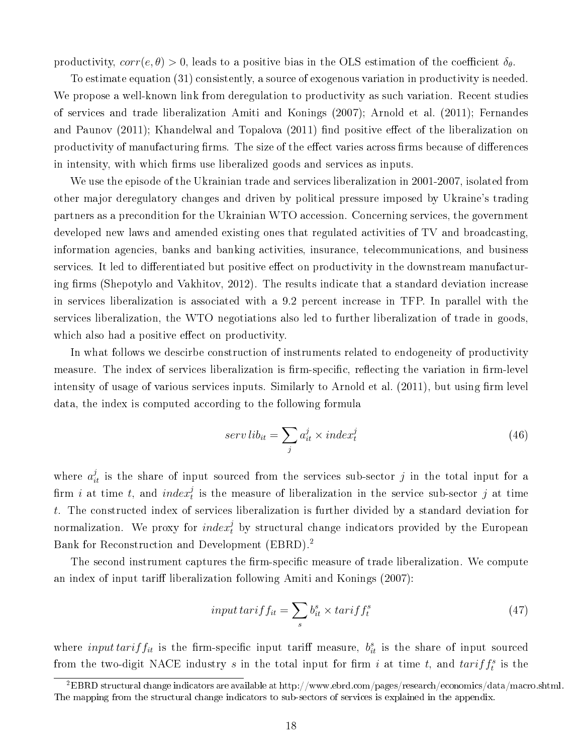productivity,  $corr(e, \theta) > 0$ , leads to a positive bias in the OLS estimation of the coefficient  $\delta_{\theta}$ .

To estimate equation (31) consistently, a source of exogenous variation in productivity is needed. We propose a well-known link from deregulation to productivity as such variation. Recent studies of services and trade liberalization Amiti and Konings (2007); Arnold et al. (2011); Fernandes and Paunov (2011); Khandelwal and Topalova (2011) find positive effect of the liberalization on productivity of manufacturing firms. The size of the effect varies across firms because of differences in intensity, with which firms use liberalized goods and services as inputs.

We use the episode of the Ukrainian trade and services liberalization in 2001-2007, isolated from other major deregulatory changes and driven by political pressure imposed by Ukraine's trading partners as a precondition for the Ukrainian WTO accession. Concerning services, the government developed new laws and amended existing ones that regulated activities of TV and broadcasting, information agencies, banks and banking activities, insurance, telecommunications, and business services. It led to differentiated but positive effect on productivity in the downstream manufacturing firms (Shepotylo and Vakhitov, 2012). The results indicate that a standard deviation increase in services liberalization is associated with a 9.2 percent increase in TFP. In parallel with the services liberalization, the WTO negotiations also led to further liberalization of trade in goods, which also had a positive effect on productivity.

In what follows we descirbe construction of instruments related to endogeneity of productivity measure. The index of services liberalization is firm-specific, reflecting the variation in firm-level intensity of usage of various services inputs. Similarly to Arnold et al. (2011), but using firm level data, the index is computed according to the following formula

$$
serv libit = \sum_{j} aitj \times indextj
$$
 (46)

where  $a_{it}^{j}$  is the share of input sourced from the services sub-sector j in the total input for a firm i at time t, and  $index_t^j$  is the measure of liberalization in the service sub-sector j at time t. The constructed index of services liberalization is further divided by a standard deviation for normalization. We proxy for  $\mathit{index}^j_t$  by structural change indicators provided by the European Bank for Reconstruction and Development (EBRD).<sup>2</sup>

The second instrument captures the firm-specific measure of trade liberalization. We compute an index of input tariff liberalization following Amiti and Konings (2007):

$$
input \, tarif f_{it} = \sum_{s} b_{it}^{s} \times \,tarif f_{t}^{s} \tag{47}
$$

where *input tarif f<sub>it</sub>* is the firm-specific input tariff measure,  $b_{it}^s$  is the share of input sourced from the two-digit NACE industry s in the total input for firm i at time t, and  $tariff_t^s$  is the

<sup>2</sup>EBRD structural change indicators are available at http://www.ebrd.com/pages/research/economics/data/macro.shtml. The mapping from the structural change indicators to sub-sectors of services is explained in the appendix.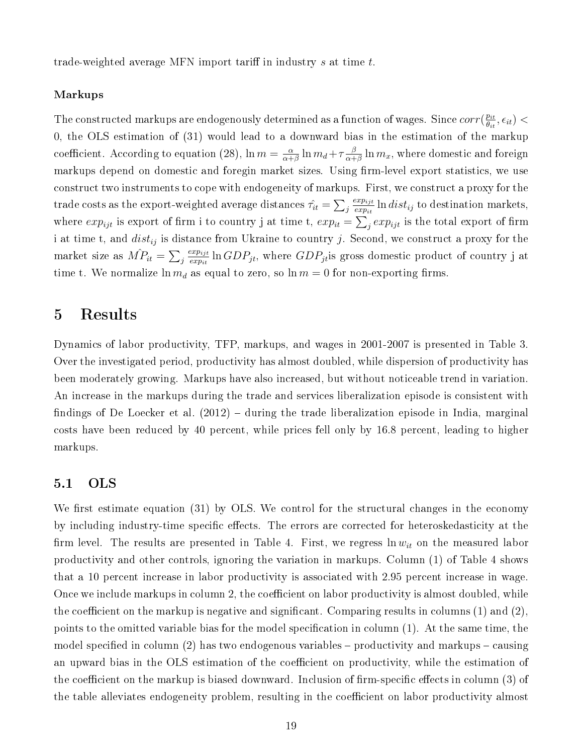trade-weighted average MFN import tariff in industry  $s$  at time  $t$ .

#### Markups

The constructed markups are endogenously determined as a function of wages. Since  $corr(\frac{pi}{\theta}$  $\frac{p_{it}}{\theta_{it}}, \epsilon_{it}) <$ 0, the OLS estimation of (31) would lead to a downward bias in the estimation of the markup coefficient. According to equation (28),  $\ln m = \frac{\alpha}{\alpha + \alpha}$  $\frac{\alpha}{\alpha+\beta}\ln m_d + \tau \frac{\beta}{\alpha+\beta}$  $\frac{\beta}{\alpha+\beta}\ln m_x,$  where domestic and foreign markups depend on domestic and foregin market sizes. Using firm-level export statistics, we use construct two instruments to cope with endogeneity of markups. First, we construct a proxy for the trade costs as the export-weighted average distances  $\hat{\tau_{it}} = \sum_j$  $exp_{ijt}$  $\frac{exp_{ijt}}{exp_{it}}\ln dist_{ij}$  to destination markets, where  $exp_{ijt}$  is export of firm i to country j at time t,  $exp_{it} = \sum_j exp_{ijt}$  is the total export of firm i at time t, and  $dist_{ij}$  is distance from Ukraine to country j. Second, we construct a proxy for the market size as  $\hat{MP_{it}} = \sum_j$  $exp_{ijt}$  $\frac{exp_{ijt}}{exp_{it}}\ln GDP_{jt}$ , where  $GDP_{jt}$ is gross domestic product of country j at time t. We normalize  $\ln m_d$  as equal to zero, so  $\ln m = 0$  for non-exporting firms.

# 5 Results

Dynamics of labor productivity, TFP, markups, and wages in 2001-2007 is presented in Table 3. Over the investigated period, productivity has almost doubled, while dispersion of productivity has been moderately growing. Markups have also increased, but without noticeable trend in variation. An increase in the markups during the trade and services liberalization episode is consistent with findings of De Loecker et al.  $(2012)$  – during the trade liberalization episode in India, marginal costs have been reduced by 40 percent, while prices fell only by 16.8 percent, leading to higher markups.

#### 5.1 OLS

We first estimate equation  $(31)$  by OLS. We control for the structural changes in the economy by including industry-time specific effects. The errors are corrected for heteroskedasticity at the firm level. The results are presented in Table 4. First, we regress  $\ln w_{it}$  on the measured labor productivity and other controls, ignoring the variation in markups. Column (1) of Table 4 shows that a 10 percent increase in labor productivity is associated with 2.95 percent increase in wage. Once we include markups in column 2, the coefficient on labor productivity is almost doubled, while the coefficient on the markup is negative and significant. Comparing results in columns  $(1)$  and  $(2)$ , points to the omitted variable bias for the model specification in column  $(1)$ . At the same time, the model specified in column (2) has two endogenous variables  $-\text{productivity}$  and markups  $-\text{causing}$ an upward bias in the OLS estimation of the coefficient on productivity, while the estimation of the coefficient on the markup is biased downward. Inclusion of firm-specific effects in column (3) of the table alleviates endogeneity problem, resulting in the coefficient on labor productivity almost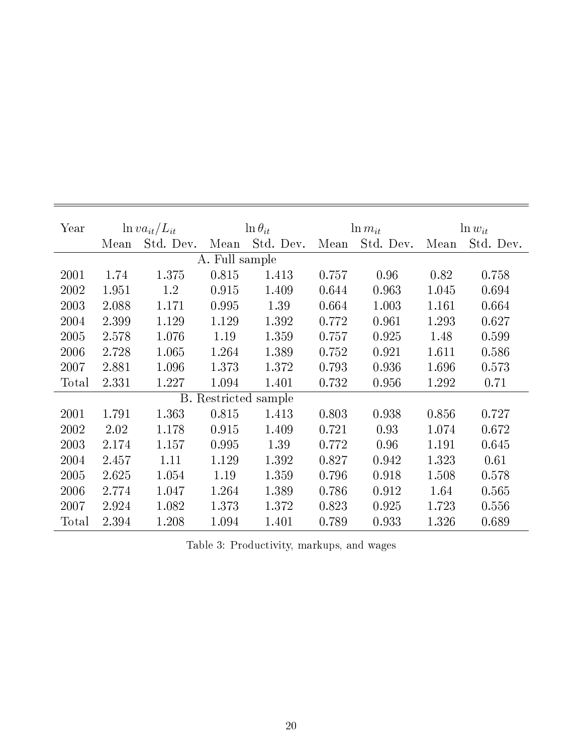| Year  |       | $\ln va_{it}/L_{it}$ |                      | $\ln \theta_{it}$ | $\ln m_{it}$ |           | $\ln w_{it}$ |           |
|-------|-------|----------------------|----------------------|-------------------|--------------|-----------|--------------|-----------|
|       | Mean  | Std. Dev.            | Mean                 | Std. Dev.         | Mean         | Std. Dev. | Mean         | Std. Dev. |
|       |       |                      | A. Full sample       |                   |              |           |              |           |
| 2001  | 1.74  | 1.375                | 0.815                | 1.413             | 0.757        | 0.96      | 0.82         | 0.758     |
| 2002  | 1.951 | 1.2                  | 0.915                | 1.409             | 0.644        | 0.963     | 1.045        | 0.694     |
| 2003  | 2.088 | 1.171                | 0.995                | 1.39              | 0.664        | 1.003     | 1.161        | 0.664     |
| 2004  | 2.399 | 1.129                | 1.129                | 1.392             | 0.772        | 0.961     | 1.293        | 0.627     |
| 2005  | 2.578 | 1.076                | 1.19                 | 1.359             | 0.757        | 0.925     | 1.48         | 0.599     |
| 2006  | 2.728 | 1.065                | 1.264                | 1.389             | 0.752        | 0.921     | 1.611        | 0.586     |
| 2007  | 2.881 | 1.096                | 1.373                | 1.372             | 0.793        | 0.936     | 1.696        | 0.573     |
| Total | 2.331 | 1.227                | 1.094                | 1.401             | 0.732        | 0.956     | 1.292        | 0.71      |
|       |       |                      | <b>B.</b> Restricted | sample            |              |           |              |           |
| 2001  | 1.791 | 1.363                | 0.815                | 1.413             | 0.803        | 0.938     | 0.856        | 0.727     |
| 2002  | 2.02  | 1.178                | 0.915                | 1.409             | 0.721        | 0.93      | 1.074        | 0.672     |
| 2003  | 2.174 | 1.157                | 0.995                | 1.39              | 0.772        | 0.96      | 1.191        | 0.645     |
| 2004  | 2.457 | 1.11                 | 1.129                | 1.392             | 0.827        | 0.942     | 1.323        | 0.61      |
| 2005  | 2.625 | 1.054                | 1.19                 | 1.359             | 0.796        | 0.918     | 1.508        | 0.578     |
| 2006  | 2.774 | 1.047                | 1.264                | 1.389             | 0.786        | 0.912     | 1.64         | 0.565     |
| 2007  | 2.924 | 1.082                | 1.373                | 1.372             | 0.823        | 0.925     | 1.723        | 0.556     |
| Total | 2.394 | 1.208                | 1.094                | 1.401             | 0.789        | 0.933     | 1.326        | 0.689     |

Table 3: Productivity, markups, and wages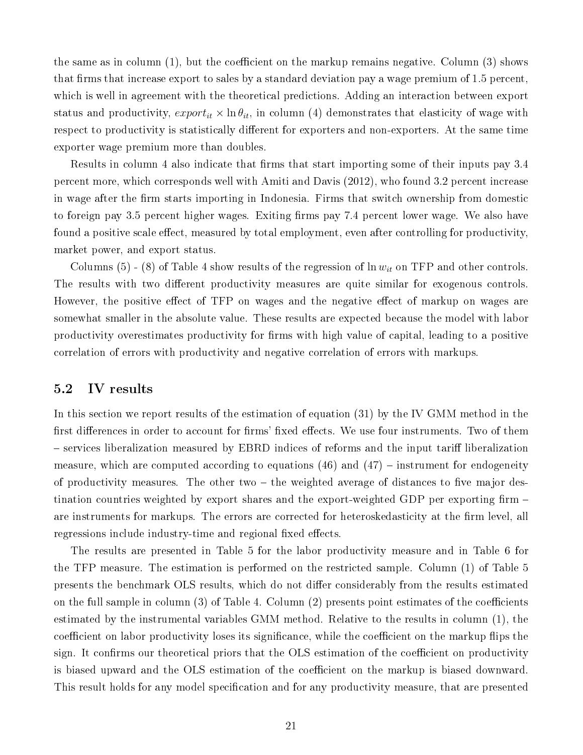the same as in column  $(1)$ , but the coefficient on the markup remains negative. Column  $(3)$  shows that firms that increase export to sales by a standard deviation pay a wage premium of  $1.5$  percent, which is well in agreement with the theoretical predictions. Adding an interaction between export status and productivity,  $\export_{it} \times \ln \theta_{it}$ , in column (4) demonstrates that elasticity of wage with respect to productivity is statistically different for exporters and non-exporters. At the same time exporter wage premium more than doubles.

Results in column 4 also indicate that firms that start importing some of their inputs pay 3.4 percent more, which corresponds well with Amiti and Davis (2012), who found 3.2 percent increase in wage after the firm starts importing in Indonesia. Firms that switch ownership from domestic to foreign pay 3.5 percent higher wages. Exiting firms pay 7.4 percent lower wage. We also have found a positive scale effect, measured by total employment, even after controlling for productivity, market power, and export status.

Columns (5) - (8) of Table 4 show results of the regression of  $\ln w_{it}$  on TFP and other controls. The results with two different productivity measures are quite similar for exogenous controls. However, the positive effect of TFP on wages and the negative effect of markup on wages are somewhat smaller in the absolute value. These results are expected because the model with labor productivity overestimates productivity for firms with high value of capital, leading to a positive correlation of errors with productivity and negative correlation of errors with markups.

#### 5.2 IV results

In this section we report results of the estimation of equation (31) by the IV GMM method in the first differences in order to account for firms' fixed effects. We use four instruments. Two of them – services liberalization measured by EBRD indices of reforms and the input tariff liberalization measure, which are computed according to equations  $(46)$  and  $(47)$  – instrument for endogeneity of productivity measures. The other two  $-$  the weighted average of distances to five major destination countries weighted by export shares and the export-weighted GDP per exporting firm  $$ are instruments for markups. The errors are corrected for heteroskedasticity at the firm level, all regressions include industry-time and regional fixed effects.

The results are presented in Table 5 for the labor productivity measure and in Table 6 for the TFP measure. The estimation is performed on the restricted sample. Column (1) of Table 5 presents the benchmark OLS results, which do not differ considerably from the results estimated on the full sample in column  $(3)$  of Table 4. Column  $(2)$  presents point estimates of the coefficients estimated by the instrumental variables GMM method. Relative to the results in column (1), the coefficient on labor productivity loses its significance, while the coefficient on the markup flips the sign. It confirms our theoretical priors that the OLS estimation of the coefficient on productivity is biased upward and the OLS estimation of the coefficient on the markup is biased downward. This result holds for any model specification and for any productivity measure, that are presented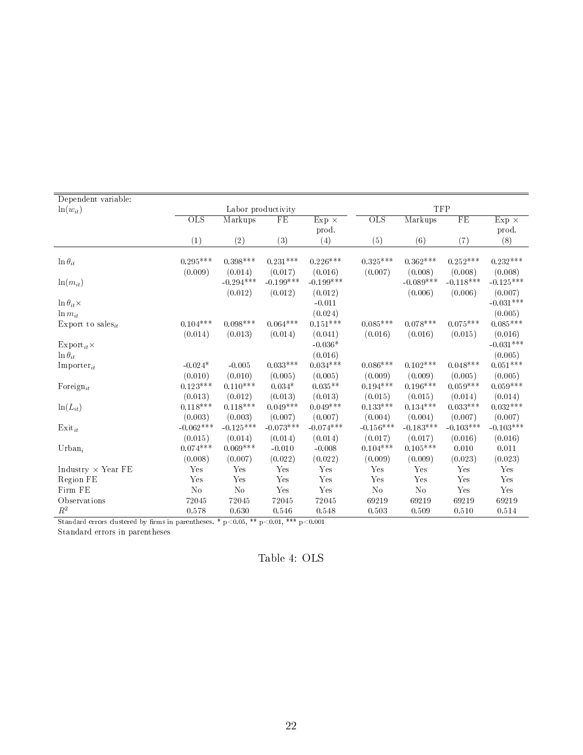| Dependent variable:           |                           |                        |                        |                        |                           |                        |                        |                        |
|-------------------------------|---------------------------|------------------------|------------------------|------------------------|---------------------------|------------------------|------------------------|------------------------|
| $ln(w_{it})$                  |                           | Labor productivity     |                        |                        |                           |                        | <b>TFP</b>             |                        |
|                               | $\overline{\mathrm{OLS}}$ | Markups                | FE                     | $Exp \times$           | $\overline{\mathrm{OLS}}$ | Markups                | FE                     | $Exp \times$           |
|                               |                           |                        |                        | prod.                  |                           |                        |                        | prod.                  |
|                               | $\left(1\right)$          | (2)                    | (3)                    | (4)                    | (5)                       | (6)                    | (7)                    | (8)                    |
|                               | $0.295***$                | $0.398***$             | $0.231***$             | $0.226***$             | $0.325***$                | $0.362***$             | $0.252***$             | $0.232***$             |
| $\ln \theta_{it}$             |                           |                        |                        |                        |                           |                        |                        |                        |
|                               | (0.009)                   | (0.014)<br>$-0.294***$ | (0.017)<br>$-0.199***$ | (0.016)<br>$-0.199***$ | (0.007)                   | (0.008)<br>$-0.089***$ | (0.008)<br>$-0.118***$ | (0.008)<br>$-0.125***$ |
| $ln(m_{it})$                  |                           |                        |                        |                        |                           |                        |                        |                        |
|                               |                           | (0.012)                | (0.012)                | (0.012)                |                           | (0.006)                | (0.006)                | (0.007)                |
| $\ln \theta_{it} \times$      |                           |                        |                        | $-0.011$               |                           |                        |                        | $-0.031***$            |
| $\ln m_{it}$                  |                           |                        |                        | (0.024)                |                           |                        |                        | (0.005)                |
| Export to sales <sub>it</sub> | $0.104***$                | $0.098***$             | $0.064***$             | $0.151***$             | $0.085***$                | $0.078***$             | $0.075***$             | $0.085^{***}\,$        |
|                               | (0.014)                   | (0.013)                | (0.014)                | (0.041)                | (0.016)                   | (0.016)                | (0.015)                | (0.016)                |
| $\mathrm{Export}_{it} \times$ |                           |                        |                        | $-0.036*$              |                           |                        |                        | $-0.031***$            |
| $\ln \theta_{it}$             |                           |                        |                        | (0.016)                |                           |                        |                        | (0.005)                |
| $Importer_{it}$               | $-0.024*$                 | $-0.005$               | $0.033***$             | $0.034***$             | $0.086***$                | $0.102***$             | $0.048***$             | $0.051***$             |
|                               | (0.010)                   | (0.010)                | (0.005)                | (0.005)                | (0.009)                   | (0.009)                | (0.005)                | (0.005)                |
| Foreign $_{it}$               | $0.123***$                | $0.110***$             | $0.034*$               | $0.035**$              | $0.194***$                | $0.196***$             | $0.059***$             | $0.059***$             |
|                               | (0.013)                   | (0.012)                | (0.013)                | (0.013)                | (0.015)                   | (0.015)                | (0.014)                | (0.014)                |
| $ln(L_{it})$                  | $0.118***$                | $0.118***$             | $0.049***$             | $0.049***$             | $0.133***$                | $0.134***$             | $0.033***$             | $0.032***$             |
|                               | (0.003)                   | (0.003)                | (0.007)                | (0.007)                | (0.004)                   | (0.004)                | (0.007)                | (0.007)                |
| $\mathrm{Exit}_{it}$          | $-0.062***$               | $-0.125***$            | $-0.073***$            | $-0.074***$            | $-0.156***$               | $-0.183***$            | $-0.103***$            | $-0.103***$            |
|                               | (0.015)                   | (0.014)                | (0.014)                | (0.014)                | (0.017)                   | (0.017)                | (0.016)                | (0.016)                |
| $Urban_i$                     | $0.074***$                | $0.069***$             | $-0.010$               | $-0.008$               | $0.104***$                | $0.105***$             | 0.010                  | 0.011                  |
|                               | (0.008)                   | (0.007)                | (0.022)                | (0.022)                | (0.009)                   | (0.009)                | (0.023)                | (0.023)                |
| Industry $\times$ Year FE     | Yes                       | Yes                    | Yes                    | Yes                    | Yes                       | Yes                    | Yes                    | Yes                    |
| Region FE                     | Yes                       | Yes                    | Yes                    | Yes                    | Yes                       | Yes                    | Yes                    | Yes                    |
| Firm FE                       | $\rm No$                  | N <sub>o</sub>         | Yes                    | Yes                    | N <sub>o</sub>            | $\rm No$               | Yes                    | Yes                    |
| Observations                  | 72045                     | 72045                  | 72045                  | 72045                  | 69219                     | 69219                  | 69219                  | 69219                  |
| $R^2$                         | 0.578                     | 0.630                  | 0.546                  | 0.548                  | 0.503                     | 0.509                  | 0.510                  | 0.514                  |

Standard errors clustered by firms in parentheses. \* p<0.05, \*\* p<0.01, \*\*\* p<0.001

Standard errors in parentheses

Table 4: OLS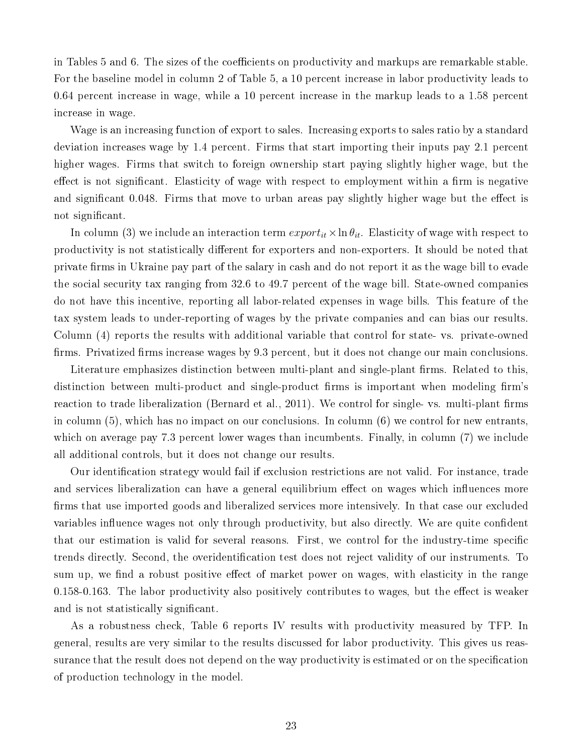in Tables 5 and 6. The sizes of the coefficients on productivity and markups are remarkable stable. For the baseline model in column 2 of Table 5, a 10 percent increase in labor productivity leads to 0.64 percent increase in wage, while a 10 percent increase in the markup leads to a 1.58 percent increase in wage.

Wage is an increasing function of export to sales. Increasing exports to sales ratio by a standard deviation increases wage by 1.4 percent. Firms that start importing their inputs pay 2.1 percent higher wages. Firms that switch to foreign ownership start paying slightly higher wage, but the effect is not significant. Elasticity of wage with respect to employment within a firm is negative and significant 0.048. Firms that move to urban areas pay slightly higher wage but the effect is not significant.

In column (3) we include an interaction term  $\export_{it} \times \ln \theta_{it}$ . Elasticity of wage with respect to productivity is not statistically different for exporters and non-exporters. It should be noted that private firms in Ukraine pay part of the salary in cash and do not report it as the wage bill to evade the social security tax ranging from 32.6 to 49.7 percent of the wage bill. State-owned companies do not have this incentive, reporting all labor-related expenses in wage bills. This feature of the tax system leads to under-reporting of wages by the private companies and can bias our results. Column (4) reports the results with additional variable that control for state- vs. private-owned firms. Privatized firms increase wages by 9.3 percent, but it does not change our main conclusions.

Literature emphasizes distinction between multi-plant and single-plant firms. Related to this, distinction between multi-product and single-product firms is important when modeling firm's reaction to trade liberalization (Bernard et al., 2011). We control for single- vs. multi-plant firms in column (5), which has no impact on our conclusions. In column (6) we control for new entrants, which on average pay 7.3 percent lower wages than incumbents. Finally, in column (7) we include all additional controls, but it does not change our results.

Our identification strategy would fail if exclusion restrictions are not valid. For instance, trade and services liberalization can have a general equilibrium effect on wages which influences more firms that use imported goods and liberalized services more intensively. In that case our excluded variables influence wages not only through productivity, but also directly. We are quite confident that our estimation is valid for several reasons. First, we control for the industry-time specific trends directly. Second, the overidentication test does not reject validity of our instruments. To sum up, we find a robust positive effect of market power on wages, with elasticity in the range  $0.158$ -0.163. The labor productivity also positively contributes to wages, but the effect is weaker and is not statistically significant.

As a robustness check, Table 6 reports IV results with productivity measured by TFP. In general, results are very similar to the results discussed for labor productivity. This gives us reassurance that the result does not depend on the way productivity is estimated or on the specification of production technology in the model.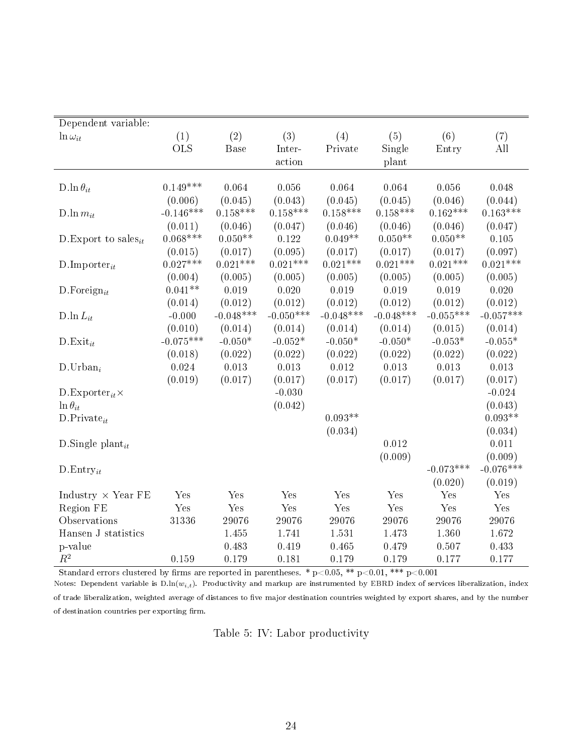| Dependent variable:                   |             |             |             |             |             |             |                                  |
|---------------------------------------|-------------|-------------|-------------|-------------|-------------|-------------|----------------------------------|
| $\ln \omega_{it}$                     | (1)         | (2)         | (3)         | (4)         | (5)         | (6)         | (7)                              |
|                                       | <b>OLS</b>  | Base        | Inter-      | Private     | Single      | Entry       | $\mathop{\mathrm{All}}\nolimits$ |
|                                       |             |             | action      |             | plant       |             |                                  |
|                                       |             |             |             |             |             |             |                                  |
| D.ln $\theta_{it}$                    | $0.149***$  | 0.064       | 0.056       | 0.064       | 0.064       | 0.056       | 0.048                            |
|                                       | (0.006)     | (0.045)     | (0.043)     | (0.045)     | (0.045)     | (0.046)     | (0.044)                          |
| D.ln $m_{it}$                         | $-0.146***$ | $0.158***$  | $0.158***$  | $0.158***$  | $0.158***$  | $0.162***$  | $0.163***$                       |
|                                       | (0.011)     | (0.046)     | (0.047)     | (0.046)     | (0.046)     | (0.046)     | (0.047)                          |
| D. Export to sales <sub>it</sub>      | $0.068***$  | $0.050**$   | 0.122       | $0.049**$   | $0.050**$   | $0.050**$   | 0.105                            |
|                                       | (0.015)     | (0.017)     | (0.095)     | (0.017)     | (0.017)     | (0.017)     | (0.097)                          |
| $D$ . Importer <sub>it</sub>          | $0.027***$  | $0.021***$  | $0.021***$  | $0.021***$  | $0.021***$  | $0.021***$  | $0.021***$                       |
|                                       | (0.004)     | (0.005)     | (0.005)     | (0.005)     | (0.005)     | (0.005)     | (0.005)                          |
| D. Foreign <sub>it</sub>              | $0.041**$   | 0.019       | 0.020       | 0.019       | 0.019       | 0.019       | 0.020                            |
|                                       | (0.014)     | (0.012)     | (0.012)     | (0.012)     | (0.012)     | (0.012)     | (0.012)                          |
| D.ln $L_{it}$                         | $-0.000$    | $-0.048***$ | $-0.050***$ | $-0.048***$ | $-0.048***$ | $-0.055***$ | $-0.057***$                      |
|                                       | (0.010)     | (0.014)     | (0.014)     | (0.014)     | (0.014)     | (0.015)     | (0.014)                          |
| $D$ Exit <sub>it</sub>                | $-0.075***$ | $-0.050*$   | $-0.052*$   | $-0.050*$   | $-0.050*$   | $-0.053*$   | $-0.055*$                        |
|                                       | (0.018)     | (0.022)     | (0.022)     | (0.022)     | (0.022)     | (0.022)     | (0.022)                          |
| $D.Urban_i$                           | 0.024       | 0.013       | 0.013       | 0.012       | 0.013       | 0.013       | 0.013                            |
|                                       | (0.019)     | (0.017)     | (0.017)     | (0.017)     | (0.017)     | (0.017)     | (0.017)                          |
| $D$ . Exporter <sub>it</sub> $\times$ |             |             | $-0.030$    |             |             |             | $-0.024$                         |
| $\ln \theta_{it}$                     |             |             | (0.042)     |             |             |             | (0.043)                          |
| $D.Private_{it}$                      |             |             |             | $0.093**$   |             |             | $0.093**$                        |
|                                       |             |             |             | (0.034)     |             |             | (0.034)                          |
| D.Single plant <sub>it</sub>          |             |             |             |             | 0.012       |             | 0.011                            |
|                                       |             |             |             |             | (0.009)     |             | (0.009)                          |
| $D.Entry_{it}$                        |             |             |             |             |             | $-0.073***$ | $-0.076***$                      |
|                                       |             |             |             |             |             | (0.020)     | (0.019)                          |
| Industry $\times$ Year FE             | Yes         | Yes         | Yes         | Yes         | Yes         | Yes         | Yes                              |
| Region FE                             | Yes         | Yes         | Yes         | Yes         | Yes         | Yes         | Yes                              |
| Observations                          | 31336       | 29076       | 29076       | 29076       | 29076       | 29076       | 29076                            |
| Hansen J statistics                   |             | 1.455       | 1.741       | 1.531       | 1.473       | 1.360       | 1.672                            |
| p-value                               |             | 0.483       | 0.419       | 0.465       | 0.479       | 0.507       | 0.433                            |
| $\mathbb{R}^2$                        | 0.159       | 0.179       | 0.181       | 0.179       | 0.179       | 0.177       | 0.177                            |

Standard errors clustered by firms are reported in parentheses. \*  $p<0.05$ , \*\*  $p<0.01$ , \*\*\*  $p<0.001$ 

Notes: Dependent variable is  $D\cdot ln(w_{i,t})$ . Productivity and markup are instrumented by EBRD index of services liberalization, index of trade liberalization, weighted average of distances to five major destination countries weighted by export shares, and by the number of destination countries per exporting firm.

Table 5: IV: Labor productivity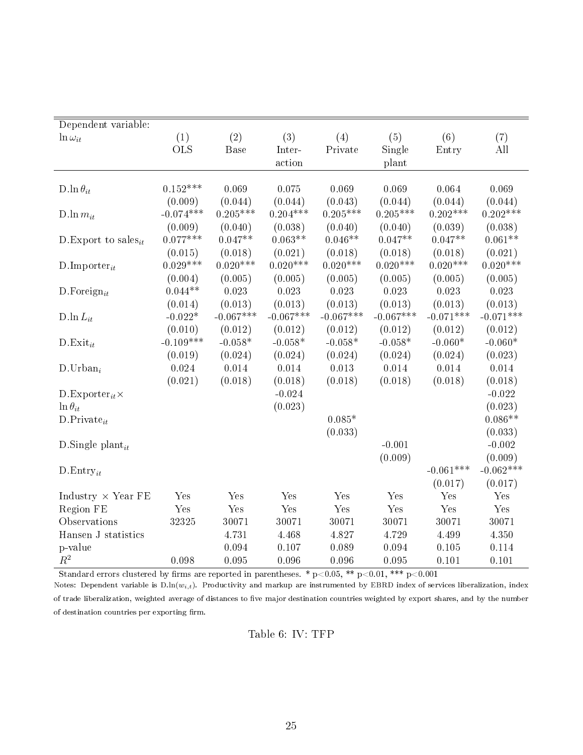| Dependent variable:                |             |             |             |             |             |             |             |
|------------------------------------|-------------|-------------|-------------|-------------|-------------|-------------|-------------|
| $\ln \omega_{it}$                  | (1)         | (2)         | (3)         | (4)         | (5)         | (6)         | (7)         |
|                                    | <b>OLS</b>  | Base        | Inter-      | Private     | Single      | Entry       | All         |
|                                    |             |             | action      |             | plant       |             |             |
|                                    |             |             |             |             |             |             |             |
| D.ln $\theta_{it}$                 | $0.152***$  | 0.069       | 0.075       | 0.069       | 0.069       | 0.064       | 0.069       |
|                                    | (0.009)     | (0.044)     | (0.044)     | (0.043)     | (0.044)     | (0.044)     | (0.044)     |
| D.ln $m_{it}$                      | $-0.074***$ | $0.205***$  | $0.204***$  | $0.205***$  | $0.205***$  | $0.202***$  | $0.202***$  |
|                                    | (0.009)     | (0.040)     | (0.038)     | (0.040)     | (0.040)     | (0.039)     | (0.038)     |
| D. Export to sales <sub>it</sub>   | $0.077***$  | $0.047**$   | $0.063**$   | $0.046**$   | $0.047**$   | $0.047**$   | $0.061**$   |
|                                    | (0.015)     | (0.018)     | (0.021)     | (0.018)     | (0.018)     | (0.018)     | (0.021)     |
| $D$ . Importer <sub>it</sub>       | $0.029***$  | $0.020***$  | $0.020***$  | $0.020***$  | $0.020***$  | $0.020***$  | $0.020***$  |
|                                    | (0.004)     | (0.005)     | (0.005)     | (0.005)     | (0.005)     | (0.005)     | (0.005)     |
| $D$ . Foreign <sub>it</sub>        | $0.044**$   | 0.023       | 0.023       | 0.023       | 0.023       | 0.023       | 0.023       |
|                                    | (0.014)     | (0.013)     | (0.013)     | (0.013)     | (0.013)     | (0.013)     | (0.013)     |
| D $\ln L_{it}$                     | $-0.022*$   | $-0.067***$ | $-0.067***$ | $-0.067***$ | $-0.067***$ | $-0.071***$ | $-0.071***$ |
|                                    | (0.010)     | (0.012)     | (0.012)     | (0.012)     | (0.012)     | (0.012)     | (0.012)     |
| $D$ Exit <sub>it</sub>             | $-0.109***$ | $-0.058*$   | $-0.058*$   | $-0.058*$   | $-0.058*$   | $-0.060*$   | $-0.060*$   |
|                                    | (0.019)     | (0.024)     | (0.024)     | (0.024)     | (0.024)     | (0.024)     | (0.023)     |
| $D.Urban_i$                        | 0.024       | 0.014       | 0.014       | 0.013       | 0.014       | 0.014       | 0.014       |
|                                    | (0.021)     | (0.018)     | (0.018)     | (0.018)     | (0.018)     | (0.018)     | (0.018)     |
| D. Exporter <sub>it</sub> $\times$ |             |             | $-0.024$    |             |             |             | $-0.022$    |
| $\ln \theta_{it}$                  |             |             | (0.023)     |             |             |             | (0.023)     |
| $D.Private_{it}$                   |             |             |             | $0.085*$    |             |             | $0.086**$   |
|                                    |             |             |             | (0.033)     |             |             | (0.033)     |
| D.Single plant <sub>it</sub>       |             |             |             |             | $-0.001$    |             | $-0.002$    |
|                                    |             |             |             |             | (0.009)     |             | (0.009)     |
| $D.Entry_{it}$                     |             |             |             |             |             | $-0.061***$ | $-0.062***$ |
|                                    |             |             |             |             |             | (0.017)     | (0.017)     |
| Industry $\times$ Year FE          | Yes         | Yes         | Yes         | Yes         | Yes         | Yes         | Yes         |
| Region FE                          | Yes         | Yes         | Yes         | Yes         | Yes         | Yes         | Yes         |
| Observations                       | 32325       | 30071       | 30071       | 30071       | 30071       | 30071       | 30071       |
| Hansen J statistics                |             | 4.731       | 4.468       | 4.827       | 4.729       | 4.499       | 4.350       |
| p-value                            |             | 0.094       | 0.107       | 0.089       | 0.094       | 0.105       | 0.114       |
| $\mathbb{R}^2$                     | 0.098       | 0.095       | 0.096       | 0.096       | 0.095       | 0.101       | 0.101       |

Standard errors clustered by firms are reported in parentheses. \*  $p<0.05$ , \*\*  $p<0.01$ , \*\*\*  $p<0.001$ 

Notes: Dependent variable is  $D\cdot ln(w_{i,t})$ . Productivity and markup are instrumented by EBRD index of services liberalization, index of trade liberalization, weighted average of distances to five major destination countries weighted by export shares, and by the number of destination countries per exporting firm.

Table 6: IV: TFP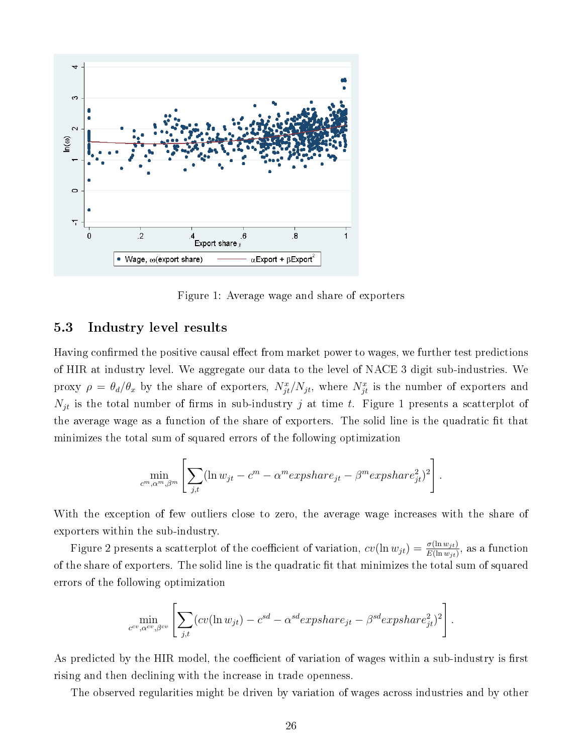

Figure 1: Average wage and share of exporters

## 5.3 Industry level results

Having confirmed the positive causal effect from market power to wages, we further test predictions of HIR at industry level. We aggregate our data to the level of NACE 3 digit sub-industries. We proxy  $\rho = \theta_d/\theta_x$  by the share of exporters,  $N_{jt}^x/N_{jt}$ , where  $N_{jt}^x$  is the number of exporters and  $N_{jt}$  is the total number of firms in sub-industry j at time t. Figure 1 presents a scatterplot of the average wage as a function of the share of exporters. The solid line is the quadratic fit that minimizes the total sum of squared errors of the following optimization

$$
\min_{c^m, \alpha^m, \beta^m} \left[ \sum_{j,t} (\ln w_{jt} - c^m - \alpha^m expshare_{jt} - \beta^m expshare_{jt}^2)^2 \right].
$$

With the exception of few outliers close to zero, the average wage increases with the share of exporters within the sub-industry.

Figure 2 presents a scatterplot of the coefficient of variation,  $cv(\ln w_{jt}) = \frac{\sigma(\ln w_{jt})}{E(\ln w_{jt})}$ , as a function of the share of exporters. The solid line is the quadratic fit that minimizes the total sum of squared errors of the following optimization

$$
\min_{c^{cv}, \alpha^{cv}, \beta^{cv}} \left[ \sum_{j,t} (cv(\ln w_{jt}) - c^{sd} - \alpha^{sd} expshare_{jt} - \beta^{sd} expshare_{jt}^2)^2 \right].
$$

As predicted by the HIR model, the coefficient of variation of wages within a sub-industry is first rising and then declining with the increase in trade openness.

The observed regularities might be driven by variation of wages across industries and by other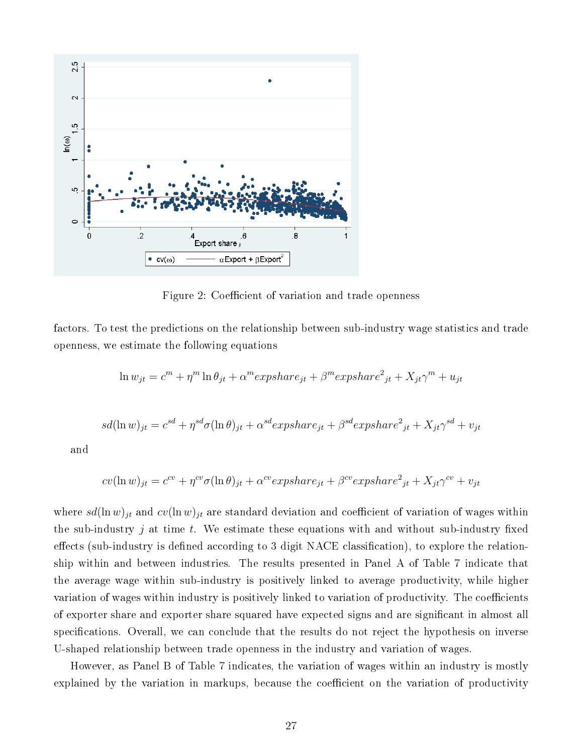

Figure 2: Coefficient of variation and trade openness

factors. To test the predictions on the relationship between sub-industry wage statistics and trade openness, we estimate the following equations

$$
\ln w_{jt} = c^m + \eta^m \ln \theta_{jt} + \alpha^m \exp \left( -\beta^m \exp \left( -\beta^m \right) + \gamma^m \right) + \left( \gamma^m + \gamma^m \right)
$$

$$
sd(\ln w)_{jt} = c^{sd} + \eta^{sd}\sigma(\ln \theta)_{jt} + \alpha^{sd}expshare_{jt} + \beta^{sd}expshare_{jt}^2 + X_{jt}\gamma^{sd} + v_{jt}
$$

and

$$
cv(\ln w)_{jt} = c^{cv} + \eta^{cv}\sigma(\ln \theta)_{jt} + \alpha^{cv}expshare_{jt} + \beta^{cv}expshare_{jt}^2 + X_{jt}\gamma^{cv} + v_{jt}
$$

where  $sd(\ln w)_{jt}$  and  $cv(\ln w)_{jt}$  are standard deviation and coefficient of variation of wages within the sub-industry  $j$  at time  $t$ . We estimate these equations with and without sub-industry fixed effects (sub-industry is defined according to 3 digit  $NACE$  classification), to explore the relationship within and between industries. The results presented in Panel A of Table 7 indicate that the average wage within sub-industry is positively linked to average productivity, while higher variation of wages within industry is positively linked to variation of productivity. The coefficients of exporter share and exporter share squared have expected signs and are signicant in almost all specifications. Overall, we can conclude that the results do not reject the hypothesis on inverse U-shaped relationship between trade openness in the industry and variation of wages.

However, as Panel B of Table 7 indicates, the variation of wages within an industry is mostly explained by the variation in markups, because the coefficient on the variation of productivity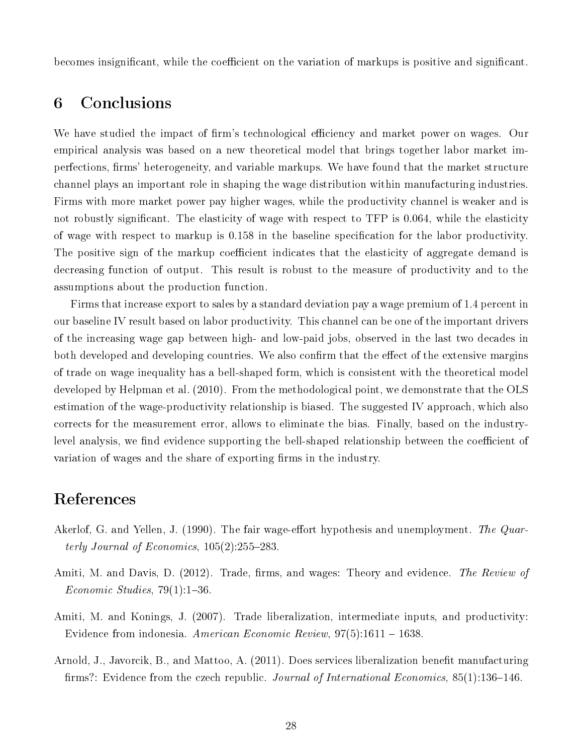becomes insignificant, while the coefficient on the variation of markups is positive and significant.

# 6 Conclusions

We have studied the impact of firm's technological efficiency and market power on wages. Our empirical analysis was based on a new theoretical model that brings together labor market imperfections, firms' heterogeneity, and variable markups. We have found that the market structure channel plays an important role in shaping the wage distribution within manufacturing industries. Firms with more market power pay higher wages, while the productivity channel is weaker and is not robustly significant. The elasticity of wage with respect to TFP is 0.064, while the elasticity of wage with respect to markup is 0.158 in the baseline specification for the labor productivity. The positive sign of the markup coefficient indicates that the elasticity of aggregate demand is decreasing function of output. This result is robust to the measure of productivity and to the assumptions about the production function.

Firms that increase export to sales by a standard deviation pay a wage premium of 1.4 percent in our baseline IV result based on labor productivity. This channel can be one of the important drivers of the increasing wage gap between high- and low-paid jobs, observed in the last two decades in both developed and developing countries. We also confirm that the effect of the extensive margins of trade on wage inequality has a bell-shaped form, which is consistent with the theoretical model developed by Helpman et al. (2010). From the methodological point, we demonstrate that the OLS estimation of the wage-productivity relationship is biased. The suggested IV approach, which also corrects for the measurement error, allows to eliminate the bias. Finally, based on the industrylevel analysis, we find evidence supporting the bell-shaped relationship between the coefficient of variation of wages and the share of exporting firms in the industry.

# References

- Akerlof, G. and Yellen, J. (1990). The fair wage-effort hypothesis and unemployment. The Quarterly Journal of Economics,  $105(2)$ :255-283.
- Amiti, M. and Davis, D. (2012). Trade, firms, and wages: Theory and evidence. The Review of  $Economic\ Studies, 79(1):1-36.$
- Amiti, M. and Konings, J. (2007). Trade liberalization, intermediate inputs, and productivity: Evidence from indonesia. American Economic Review, 97(5):1611 1638.
- Arnold, J., Javorcik, B., and Mattoo, A. (2011). Does services liberalization benefit manufacturing firms?: Evidence from the czech republic. Journal of International Economics,  $85(1)$ :136-146.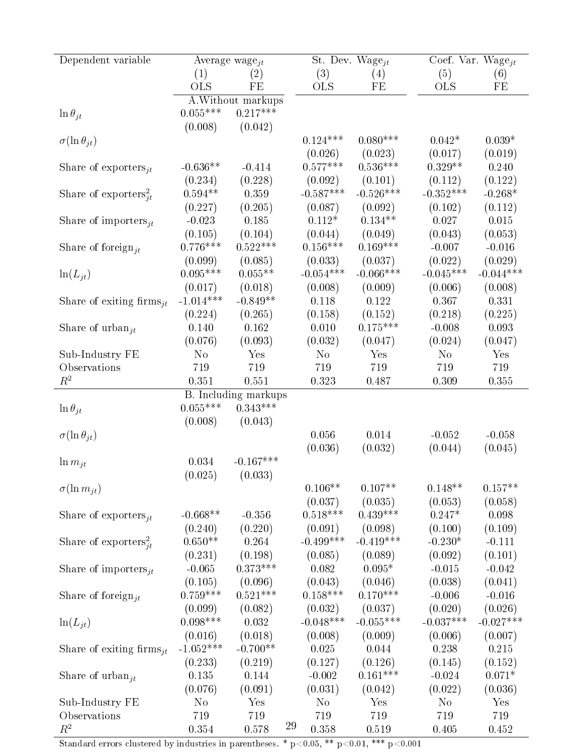| Dependent variable                            | Average wage <sub>it</sub> |                             |    |                  | St. Dev. Wage $_{it}$ | Coef. Var. Wage $_{it}$ |                     |  |
|-----------------------------------------------|----------------------------|-----------------------------|----|------------------|-----------------------|-------------------------|---------------------|--|
|                                               | (1)                        | $\left( 2\right)$           |    | (3)              | (4)                   | (5)                     | (6)                 |  |
|                                               | <b>OLS</b>                 | FE                          |    | <b>OLS</b>       | FE                    | <b>OLS</b>              | FE                  |  |
|                                               |                            | A. Without markups          |    |                  |                       |                         |                     |  |
| $\ln \theta_{it}$                             | $0.055***$                 | $0.217***$                  |    |                  |                       |                         |                     |  |
|                                               | (0.008)                    | (0.042)                     |    |                  |                       |                         |                     |  |
| $\sigma(\ln \theta_{it})$                     |                            |                             |    | $0.124***$       | $0.080***$            | $0.042*$                | $0.039*$            |  |
|                                               |                            |                             |    | (0.026)          | (0.023)               | (0.017)                 | (0.019)             |  |
|                                               | $-0.636**$                 |                             |    | $0.577***$       | $0.536***$            | $0.329**$               | 0.240               |  |
| Share of exporters $it$                       |                            | $-0.414$                    |    |                  |                       |                         |                     |  |
|                                               | (0.234)                    | (0.228)                     |    | (0.092)          | (0.101)               | (0.112)<br>$-0.352***$  | (0.122)             |  |
| Share of exporters <sup>2</sup> <sub>it</sub> | $0.594**$                  | 0.359                       |    | $-0.587***$      | $-0.526***$           |                         | $-0.268*$           |  |
|                                               | (0.227)                    | (0.205)                     |    | (0.087)          | (0.092)               | (0.102)                 | (0.112)             |  |
| Share of importers <sub>it</sub>              | $-0.023$                   | 0.185                       |    | $0.112*$         | $0.134**$             | 0.027                   | 0.015               |  |
|                                               | (0.105)                    | (0.104)                     |    | (0.044)          | (0.049)               | (0.043)                 | (0.053)             |  |
| Share of foreign <sub>it</sub>                | $0.776***$                 | $0.522***$                  |    | $0.156***$       | $0.169***$            | $-0.007$                | $-0.016$            |  |
|                                               | (0.099)                    | (0.085)                     |    | (0.033)          | (0.037)               | (0.022)                 | (0.029)             |  |
| $\ln(L_{jt})$                                 | $0.095***$                 | $0.055**$                   |    | $-0.054***$      | $-0.066***$           | $-0.045***$             | $-0.044***$         |  |
|                                               | (0.017)                    | (0.018)                     |    | (0.008)          | (0.009)               | (0.006)                 | (0.008)             |  |
| Share of exiting firms <sub>it</sub>          | $-1.014***$                | $-0.849**$                  |    | 0.118            | 0.122                 | 0.367                   | 0.331               |  |
|                                               | (0.224)                    | (0.265)                     |    | (0.158)          | (0.152)               | (0.218)                 | (0.225)             |  |
| Share of urban <sub>it</sub>                  | 0.140                      | 0.162                       |    | 0.010            | $0.175***$            | $-0.008$                | 0.093               |  |
|                                               | (0.076)                    | (0.093)                     |    | (0.032)          | (0.047)               | (0.024)                 | (0.047)             |  |
| Sub-Industry FE                               | N <sub>o</sub>             | Yes                         |    | N <sub>o</sub>   | Yes                   | N <sub>o</sub>          | Yes                 |  |
| Observations                                  | 719                        | 719                         |    | 719              | 719                   | 719                     | 719                 |  |
| $R^2$                                         | 0.351                      | 0.551                       |    | 0.323            | 0.487                 | 0.309                   | 0.355               |  |
|                                               |                            | <b>B.</b> Including markups |    |                  |                       |                         |                     |  |
| $\ln \theta_{it}$                             | $0.055***$                 | $0.343***$                  |    |                  |                       |                         |                     |  |
|                                               | (0.008)                    | (0.043)                     |    |                  |                       |                         |                     |  |
| $\sigma(\ln \theta_{jt})$                     |                            |                             |    | 0.056            | 0.014                 | $-0.052$                | $-0.058$            |  |
|                                               |                            |                             |    | (0.036)          | (0.032)               | (0.044)                 | (0.045)             |  |
| $\ln m_{jt}$                                  | 0.034                      | $-0.167***$                 |    |                  |                       |                         |                     |  |
|                                               | (0.025)                    | (0.033)                     |    |                  |                       |                         |                     |  |
| $\sigma(\ln m_{it})$                          |                            |                             |    | $0.106**$        | $0.107**$             | $0.148**$               | $0.157**$           |  |
|                                               |                            |                             |    | (0.037)          | (0.035)               | (0.053)                 | (0.058)             |  |
| Share of exporters $it$                       | $-0.668**$                 | $-0.356$                    |    | $0.518***$       | $0.439***$            | $0.247*$                | 0.098               |  |
|                                               | (0.240)                    | (0.220)                     |    | (0.091)          | (0.098)               | (0.100)                 | (0.109)             |  |
| Share of exporters <sup>2</sup> <sub>it</sub> | $0.650**$                  | 0.264                       |    | $-0.499***$      | $-0.419***$           | $-0.230*$               | $-0.111$            |  |
|                                               | (0.231)                    |                             |    |                  | (0.089)               | (0.092)                 |                     |  |
|                                               | $-0.065$                   | (0.198)<br>$0.373***$       |    | (0.085)<br>0.082 | $0.095*$              |                         | (0.101)<br>$-0.042$ |  |
| Share of importers $_{it}$                    |                            |                             |    |                  |                       | $-0.015$                |                     |  |
|                                               | (0.105)                    | (0.096)                     |    | (0.043)          | (0.046)               | (0.038)                 | (0.041)             |  |
| Share of foreign <sub>it</sub>                | $0.759***$                 | $0.521***$                  |    | $0.158***$       | $0.170***$            | $-0.006$                | $-0.016$            |  |
|                                               | (0.099)                    | (0.082)                     |    | (0.032)          | (0.037)               | (0.020)                 | (0.026)             |  |
| $ln(L_{it})$                                  | $0.098***$                 | 0.032                       |    | $-0.048***$      | $-0.055***$           | $-0.037***$             | $-0.027***$         |  |
|                                               | (0.016)                    | (0.018)                     |    | (0.008)          | (0.009)               | (0.006)                 | (0.007)             |  |
| Share of exiting firms $it$                   | $-1.052***$                | $-0.700**$                  |    | 0.025            | 0.044                 | 0.238                   | 0.215               |  |
|                                               | (0.233)                    | (0.219)                     |    | (0.127)          | (0.126)               | (0.145)                 | (0.152)             |  |
| Share of urban <sub>it</sub>                  | 0.135                      | 0.144                       |    | $-0.002$         | $0.161***$            | $-0.024$                | $0.071*$            |  |
|                                               | (0.076)                    | (0.091)                     |    | (0.031)          | (0.042)               | (0.022)                 | (0.036)             |  |
| Sub-Industry FE                               | No                         | Yes                         |    | N <sub>o</sub>   | Yes                   | N <sub>0</sub>          | Yes                 |  |
| Observations                                  | 719                        | 719                         |    | 719              | 719                   | 719                     | 719                 |  |
| $R^2$                                         | 0.354                      | 0.578                       | 29 | 0.358            | 0.519                 | 0.405                   | 0.452               |  |

Standard errors clustered by industries in parentheses. \*  $p<0.05$ , \*\*  $p<0.01$ , \*\*\*  $p<0.001$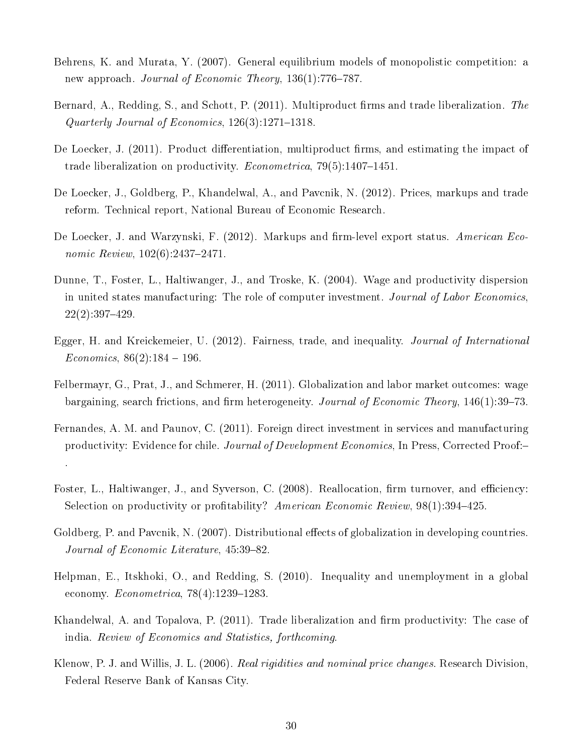- Behrens, K. and Murata, Y. (2007). General equilibrium models of monopolistic competition: a new approach. Journal of Economic Theory,  $136(1)$ :776-787.
- Bernard, A., Redding, S., and Schott, P. (2011). Multiproduct firms and trade liberalization. The Quarterly Journal of Economics,  $126(3)$ :1271-1318.
- De Loecker, J. (2011). Product differentiation, multiproduct firms, and estimating the impact of trade liberalization on productivity. *Econometrica*,  $79(5):1407-1451$ .
- De Loecker, J., Goldberg, P., Khandelwal, A., and Pavcnik, N. (2012). Prices, markups and trade reform. Technical report, National Bureau of Economic Research.
- De Loecker, J. and Warzynski, F. (2012). Markups and firm-level export status. American Economic Review,  $102(6)$ :2437-2471.
- Dunne, T., Foster, L., Haltiwanger, J., and Troske, K. (2004). Wage and productivity dispersion in united states manufacturing: The role of computer investment. Journal of Labor Economics,  $22(2):397-429.$
- Egger, H. and Kreickemeier, U. (2012). Fairness, trade, and inequality. *Journal of International*  $Economics, 86(2):184-196.$
- Felbermayr, G., Prat, J., and Schmerer, H. (2011). Globalization and labor market outcomes: wage bargaining, search frictions, and firm heterogeneity. Journal of Economic Theory, 146(1):39–73.
- Fernandes, A. M. and Paunov, C. (2011). Foreign direct investment in services and manufacturing productivity: Evidence for chile. Journal of Development Economics, In Press, Corrected Proof:

.

- Foster, L., Haltiwanger, J., and Syverson, C. (2008). Reallocation, firm turnover, and efficiency: Selection on productivity or profitability? American Economic Review,  $98(1):394-425$ .
- Goldberg, P. and Pavcnik, N. (2007). Distributional effects of globalization in developing countries. Journal of Economic Literature,  $45:39-82$ .
- Helpman, E., Itskhoki, O., and Redding, S. (2010). Inequality and unemployment in a global economy.  $Econometrica$ , 78(4):1239-1283.
- Khandelwal, A. and Topalova, P.  $(2011)$ . Trade liberalization and firm productivity: The case of india. Review of Economics and Statistics, forthcoming.
- Klenow, P. J. and Willis, J. L. (2006). Real rigidities and nominal price changes. Research Division, Federal Reserve Bank of Kansas City.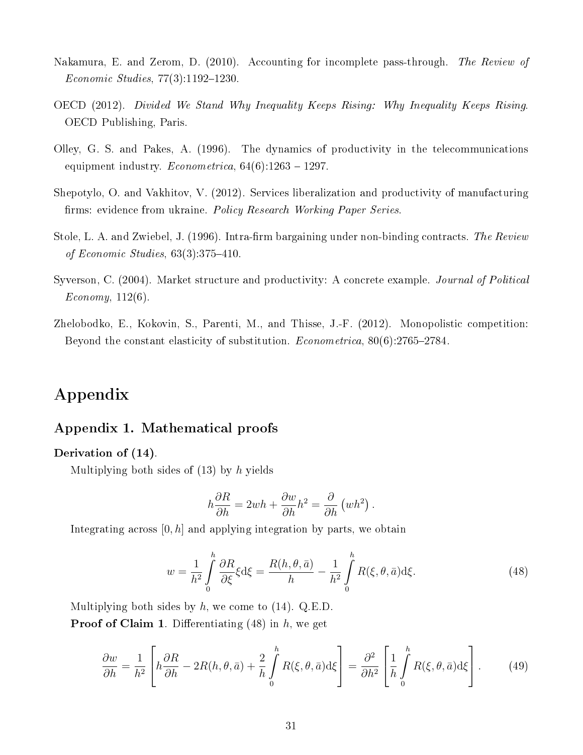- Nakamura, E. and Zerom, D. (2010). Accounting for incomplete pass-through. The Review of  $Economic Studies, 77(3):1192-1230.$
- OECD (2012). Divided We Stand Why Inequality Keeps Rising: Why Inequality Keeps Rising. OECD Publishing, Paris.
- Olley, G. S. and Pakes, A. (1996). The dynamics of productivity in the telecommunications equipment industry.  $Econometrica$ ,  $64(6):1263 - 1297$ .
- Shepotylo, O. and Vakhitov, V. (2012). Services liberalization and productivity of manufacturing firms: evidence from ukraine. Policy Research Working Paper Series.
- Stole, L. A. and Zwiebel, J. (1996). Intra-firm bargaining under non-binding contracts. The Review of Economic Studies,  $63(3):375-410$ .
- Syverson, C. (2004). Market structure and productivity: A concrete example. *Journal of Political*  $Economy, 112(6)$ .
- Zhelobodko, E., Kokovin, S., Parenti, M., and Thisse, J.-F. (2012). Monopolistic competition: Beyond the constant elasticity of substitution. *Econometrica*,  $80(6):2765-2784$ .

# Appendix

## Appendix 1. Mathematical proofs

## Derivation of (14).

Multiplying both sides of  $(13)$  by h yields

$$
h\frac{\partial R}{\partial h} = 2wh + \frac{\partial w}{\partial h}h^2 = \frac{\partial}{\partial h}(wh^2).
$$

Integrating across  $[0, h]$  and applying integration by parts, we obtain

$$
w = \frac{1}{h^2} \int_0^h \frac{\partial R}{\partial \xi} \xi \, d\xi = \frac{R(h, \theta, \bar{a})}{h} - \frac{1}{h^2} \int_0^h R(\xi, \theta, \bar{a}) \, d\xi. \tag{48}
$$

Multiplying both sides by  $h$ , we come to  $(14)$ . Q.E.D.

**Proof of Claim 1.** Differentiating  $(48)$  in h, we get

$$
\frac{\partial w}{\partial h} = \frac{1}{h^2} \left[ h \frac{\partial R}{\partial h} - 2R(h, \theta, \bar{a}) + \frac{2}{h} \int_0^h R(\xi, \theta, \bar{a}) d\xi \right] = \frac{\partial^2}{\partial h^2} \left[ \frac{1}{h} \int_0^h R(\xi, \theta, \bar{a}) d\xi \right].
$$
 (49)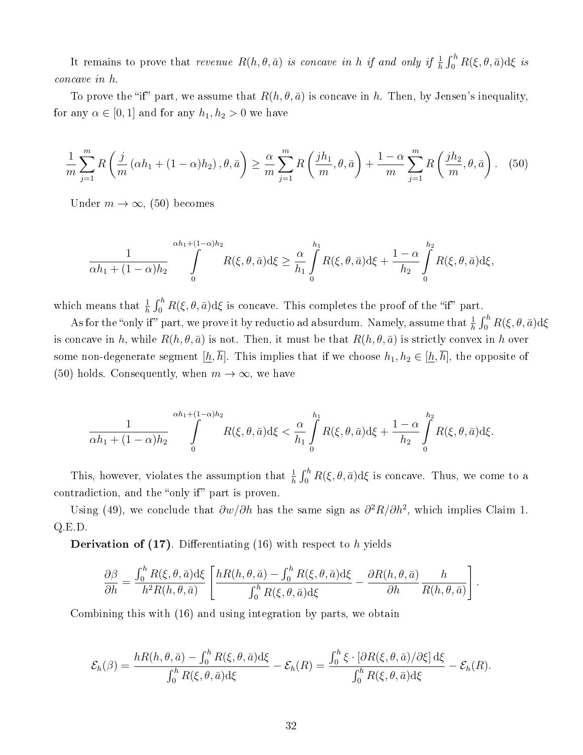It remains to prove that *revenue*  $R(h, \theta, \bar{a})$  *is concave in h if and only if*  $\frac{1}{h} \int_0^h R(\xi, \theta, \bar{a}) d\xi$  *is* concave in h.

To prove the "if" part, we assume that  $R(h, \theta, \bar{a})$  is concave in h. Then, by Jensen's inequality, for any  $\alpha \in [0,1]$  and for any  $h_1, h_2 > 0$  we have

$$
\frac{1}{m}\sum_{j=1}^{m} R\left(\frac{j}{m}\left(\alpha h_1 + (1-\alpha)h_2\right), \theta, \bar{a}\right) \ge \frac{\alpha}{m}\sum_{j=1}^{m} R\left(\frac{jh_1}{m}, \theta, \bar{a}\right) + \frac{1-\alpha}{m}\sum_{j=1}^{m} R\left(\frac{jh_2}{m}, \theta, \bar{a}\right). \tag{50}
$$

Under  $m \to \infty$ , (50) becomes

$$
\frac{1}{\alpha h_1 + (1-\alpha)h_2} \int\limits_{0}^{\alpha h_1 + (1-\alpha)h_2} R(\xi, \theta, \bar{a}) d\xi \geq \frac{\alpha}{h_1} \int\limits_{0}^{h_1} R(\xi, \theta, \bar{a}) d\xi + \frac{1-\alpha}{h_2} \int\limits_{0}^{h_2} R(\xi, \theta, \bar{a}) d\xi,
$$

which means that  $\frac{1}{h} \int_0^h R(\xi, \theta, \bar{a}) d\xi$  is concave. This completes the proof of the "if" part.

As for the "only if" part, we prove it by reductio ad absurdum. Namely, assume that  $\frac{1}{h}\int_0^h R(\xi,\theta,\bar a) \mathrm{d}\xi$ is concave in h, while  $R(h, \theta, \bar{a})$  is not. Then, it must be that  $R(h, \theta, \bar{a})$  is strictly convex in h over some non-degenerate segment  $[\underline{h}, \overline{h}]$ . This implies that if we choose  $h_1, h_2 \in [\underline{h}, \overline{h}]$ , the opposite of (50) holds. Consequently, when  $m \to \infty$ , we have

$$
\frac{1}{\alpha h_1 + (1 - \alpha)h_2} \int\limits_{0}^{\alpha h_1 + (1 - \alpha)h_2} R(\xi, \theta, \bar{a}) d\xi < \frac{\alpha}{h_1} \int\limits_{0}^{h_1} R(\xi, \theta, \bar{a}) d\xi + \frac{1 - \alpha}{h_2} \int\limits_{0}^{h_2} R(\xi, \theta, \bar{a}) d\xi.
$$

This, however, violates the assumption that  $\frac{1}{h} \int_0^h R(\xi, \theta, \bar{a}) d\xi$  is concave. Thus, we come to a contradiction, and the "only if" part is proven.

Using (49), we conclude that  $\partial w/\partial h$  has the same sign as  $\partial^2 R/\partial h^2$ , which implies Claim 1. Q.E.D.

**Derivation of (17)**. Differentiating (16) with respect to h yields

$$
\frac{\partial \beta}{\partial h} = \frac{\int_0^h R(\xi, \theta, \bar{a}) d\xi}{h^2 R(h, \theta, \bar{a})} \left[ \frac{h R(h, \theta, \bar{a}) - \int_0^h R(\xi, \theta, \bar{a}) d\xi}{\int_0^h R(\xi, \theta, \bar{a}) d\xi} - \frac{\partial R(h, \theta, \bar{a})}{\partial h} \frac{h}{R(h, \theta, \bar{a})} \right].
$$

Combining this with (16) and using integration by parts, we obtain

$$
\mathcal{E}_h(\beta) = \frac{hR(h,\theta,\bar{a}) - \int_0^h R(\xi,\theta,\bar{a})d\xi}{\int_0^h R(\xi,\theta,\bar{a})d\xi} - \mathcal{E}_h(R) = \frac{\int_0^h \xi \cdot [\partial R(\xi,\theta,\bar{a})/\partial\xi]d\xi}{\int_0^h R(\xi,\theta,\bar{a})d\xi} - \mathcal{E}_h(R).
$$